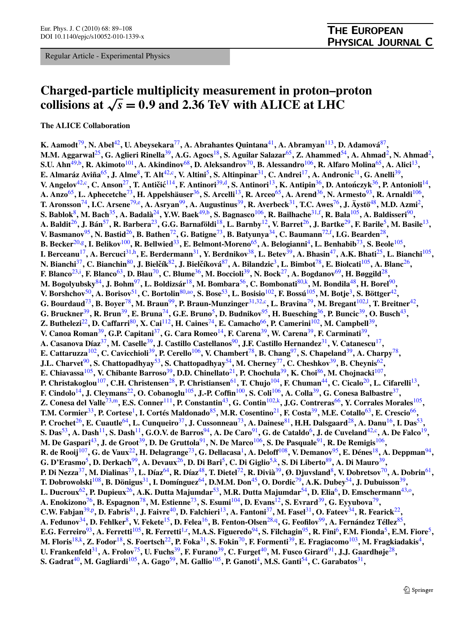Regular Article - Experimental Physics

# **Charged-particle multiplicity measurement in proton–proton collisions at**  $\sqrt{s} = 0.9$  and 2.36 TeV with ALICE at LHC

**The ALICE Collaboration**

**K. Aamodt**[79](#page-4-0)**, N. Abel**[42](#page-3-0)**, U. Abeysekara**[77](#page-4-0)**, A. Abrahantes Quintana**[41](#page-3-0)**, A. Abramyan**[113](#page-4-0)**, D. Adamová**[87](#page-4-0)**, M.M. Aggarwal**[25](#page-3-0)**, G. Aglieri Rinella**[39](#page-3-0)**, A.G. Agocs**[18](#page-3-0)**, S. Aguilar Salazar**[65](#page-3-0)**, Z. Ahammed**[54](#page-3-0)**, A. Ahmad**[2](#page-2-0)**, N. Ahmad**[2](#page-2-0)**, S.U. Ahn**[49](#page-3-0)[,b](#page-4-0)**, R. Akimoto**[101](#page-4-0)**, A. Akindinov**[68](#page-4-0)**, D. Aleksandrov**[70](#page-4-0)**, B. Alessandro**[106](#page-4-0)**, R. Alfaro Molina**[65](#page-3-0)**, A. Alici**[13](#page-3-0)**, E. Almaráz Aviña**[65](#page-3-0)**, J. Alme**[8](#page-3-0)**, T. Alt**[42,](#page-3-0)[c](#page-4-0)**, V. Altini**[5](#page-3-0)**, S. Altinpinar**[31](#page-3-0)**, C. Andrei**[17](#page-3-0)**, A. Andronic**[31](#page-3-0)**, G. Anelli**[39](#page-3-0)**, V. Angelov**<sup>[42,](#page-3-0)[c](#page-4-0)</sup>, C. Anson<sup>[27](#page-3-0)</sup>, T. Antičić<sup>[114](#page-4-0)</sup>, F. Antinori<sup>[39](#page-3-0),[d](#page-4-0)</sup>, S. Antinori<sup>[13](#page-3-0)</sup>, K. Antipin<sup>[36](#page-3-0)</sup>, D. Antonczyk<sup>36</sup>, P. Antonioli<sup>[14](#page-3-0)</sup>, **A. Anzo**[65](#page-3-0)**, L. Aphecetche**[73](#page-4-0)**, H. Appelshäuser**[36](#page-3-0)**, S. Arcelli**[13](#page-3-0)**, R. Arceo**[65](#page-3-0)**, A. Arend**[36](#page-3-0)**, N. Armesto**[93](#page-4-0)**, R. Arnaldi**[106](#page-4-0)**, T. Aronsson**[74](#page-4-0)**, I.C. Arsene**[79,e](#page-4-0)**, A. Asryan**[99](#page-4-0)**, A. Augustinus**[39](#page-3-0)**, R. Averbeck**[31](#page-3-0)**, T.C. Awes**[76](#page-4-0)**, J. Äystö**[48](#page-3-0)**, M.D. Azmi**[2](#page-2-0)**, S. Bablok**[8](#page-3-0)**, M. Bach**[35](#page-3-0)**, A. Badalà**[24](#page-3-0)**, Y.W. Baek**[49](#page-3-0)[,b](#page-4-0)**, S. Bagnasco**[106](#page-4-0)**, R. Bailhache**[31,](#page-3-0)[f](#page-4-0) **, R. Bala**[105](#page-4-0)**, A. Baldisseri**[90](#page-4-0)**, A. Baldit**[26](#page-3-0)**, J. Bán**[57](#page-3-0)**, R. Barbera**[23](#page-3-0)**, G.G. Barnaföldi**[18](#page-3-0)**, L. Barnby**[12](#page-3-0)**, V. Barret**[26](#page-3-0)**, J. Bartke**[29](#page-3-0)**, F. Barile**[5](#page-3-0)**, M. Basile**[13](#page-3-0)**, V. Basmanov**[95](#page-4-0)**, N. Bastid**[26](#page-3-0)**, B. Bathen**[72](#page-4-0)**, G. Batigne**[73](#page-4-0)**, B. Batyunya**[34](#page-3-0)**, C. Baumann**[72,f](#page-4-0) **, I.G. Bearden**[28](#page-3-0)**, B. Becker**[20,](#page-3-0)[g](#page-4-0)**, I. Belikov**[100](#page-4-0)**, R. Bellwied**[33](#page-3-0)**, E. Belmont-Moreno**[65](#page-3-0)**, A. Belogianni**[4](#page-3-0)**, L. Benhabib**[73](#page-4-0)**, S. Beole**[105](#page-4-0)**, I. Berceanu**[17](#page-3-0)**, A. Bercuci**[31](#page-3-0),[h](#page-4-0)**, E. Berdermann**[31](#page-3-0)**, Y. Berdnikov**[38](#page-3-0)**, L. Betev**[39](#page-3-0)**, A. Bhasin**[47](#page-3-0)**, A.K. Bhati**[25](#page-3-0)**, L. Bianchi**[105](#page-4-0)**, N. Bianchi**<sup>[37](#page-3-0)</sup>, C. Bianchin<sup>[80](#page-4-0)</sup>, J. Bielčík<sup>[82](#page-4-0)</sup>, J. Bielčíková<sup>[87](#page-4-0)</sup>, A. Bilandzic<sup>[3](#page-3-0)</sup>, L. Bimbot<sup>[78](#page-4-0)</sup>, E. Biolcati<sup>[105](#page-4-0)</sup>, A. Blanc<sup>[26](#page-3-0)</sup>, **F. Blanco**[23,](#page-3-0)[i](#page-4-0) **, F. Blanco**[63](#page-3-0)**, D. Blau**[70](#page-4-0)**, C. Blume**[36](#page-3-0)**, M. Boccioli**[39](#page-3-0)**, N. Bock**[27](#page-3-0)**, A. Bogdanov**[69](#page-4-0)**, H. Bøggild**[28](#page-3-0)**, M. Bogolyubsky**[84](#page-4-0)**, J. Bohm**[97](#page-4-0)**, L. Boldizsár**[18](#page-3-0)**, M. Bombara**[56](#page-3-0)**, C. Bombonati**[80,k](#page-4-0)**, M. Bondila**[48](#page-3-0)**, H. Borel**[90](#page-4-0)**, V. Borshchov**[50](#page-3-0)**, A. Borisov**[51](#page-3-0)**, C. Bortolin**[80,](#page-4-0)[ao](#page-5-0)**, S. Bose**[53](#page-3-0)**, L. Bosisio**[102](#page-4-0)**, F. Bossú**[105](#page-4-0)**, M. Botje**[3](#page-3-0)**, S. Böttger**[42](#page-3-0)**,**  $G$ . Bourdaud<sup>[73](#page-4-0)</sup>, B. Boyer<sup>[78](#page-4-0)</sup>, M. Braun<sup>[99](#page-4-0)</sup>, P. Braun-Munzinger<sup>[31,32,](#page-3-0)[c](#page-4-0)</sup>, L. Bravina<sup>[79](#page-4-0)</sup>, M. Bregant<sup>102,1</sup>, T. Breitner<sup>[42](#page-3-0)</sup>, **G. Bruckner**[39](#page-3-0)**, R. Brun**[39](#page-3-0)**, E. Bruna**[74](#page-4-0)**, G.E. Bruno**[5](#page-3-0)**, D. Budnikov**[95](#page-4-0)**, H. Buesching**[36](#page-3-0)**, P. Buncic**[39](#page-3-0)**, O. Busch**[43](#page-3-0)**, Z. Buthelezi**[22](#page-3-0)**, D. Caffarri**[80](#page-4-0)**, X. Cai**[112](#page-4-0)**, H. Caines**[74](#page-4-0)**, E. Camacho**[66](#page-3-0)**, P. Camerini**[102](#page-4-0)**, M. Campbell**[39](#page-3-0)**, V. Canoa Roman**[39](#page-3-0)**, G.P. Capitani**[37](#page-3-0)**, G. Cara Romeo**[14](#page-3-0)**, F. Carena**[39](#page-3-0)**, W. Carena**[39](#page-3-0)**, F. Carminati**[39](#page-3-0)**, A. Casanova Díaz**[37](#page-3-0)**, M. Caselle**[39](#page-3-0)**, J. Castillo Castellanos**[90](#page-4-0)**, J.F. Castillo Hernandez**[31](#page-3-0)**, V. Catanescu**[17](#page-3-0)**, E. Cattaruzza**[102](#page-4-0)**, C. Cavicchioli**[39](#page-3-0)**, P. Cerello**[106](#page-4-0)**, V. Chambert**[78](#page-4-0)**, B. Chang**[97](#page-4-0)**, S. Chapeland**[39](#page-3-0)**, A. Charpy**[78](#page-4-0)**, J.L. Charvet**<sup>[90](#page-4-0)</sup>, S. Chattopadhyay<sup>[53](#page-3-0)</sup>, S. Chattopadhyay<sup>[54](#page-3-0)</sup>, M. Cherney<sup>[77](#page-4-0)</sup>, C. Cheshkov<sup>[39](#page-3-0)</sup>, B. Cheynis<sup>[62](#page-3-0)</sup>, **E. Chiavassa**[105](#page-4-0)**, V. Chibante Barroso**[39](#page-3-0)**, D.D. Chinellato**[21](#page-3-0)**, P. Chochula**[39](#page-3-0)**, K. Choi**[86](#page-4-0)**, M. Chojnacki**[107](#page-4-0)**, P. Christakoglou**[107](#page-4-0)**, C.H. Christensen**[28](#page-3-0)**, P. Christiansen**[61](#page-3-0)**, T. Chujo**[104](#page-4-0)**, F. Chuman**[44](#page-3-0)**, C. Cicalo**[20](#page-3-0)**, L. Cifarelli**[13](#page-3-0)**, F. Cindolo**<sup>[14](#page-3-0)</sup>, J. Cleymans<sup>[22](#page-3-0)</sup>, O. Cobanoglu<sup>[105](#page-4-0)</sup>, J.-P. Coffin<sup>[100](#page-4-0)</sup>, S. Coli<sup>[106](#page-4-0)</sup>, A. Colla<sup>[39](#page-3-0)</sup>, G. Conesa Balbastre<sup>[37](#page-3-0)</sup>, **Z. Conesa del Valle**[73,](#page-4-0)[m](#page-5-0)**, E.S. Conner**[111](#page-4-0)**, P. Constantin**[43](#page-3-0)**, G. Contin**[102,k](#page-4-0)**, J.G. Contreras**[66](#page-3-0)**, Y. Corrales Morales**[105](#page-4-0)**, T.M. Cormier**[33](#page-3-0)**, P. Cortese**[1](#page-2-0)**, I. Cortés Maldonado**[85](#page-4-0)**, M.R. Cosentino**[21](#page-3-0)**, F. Costa**[39](#page-3-0)**, M.E. Cotallo**[63](#page-3-0)**, E. Crescio**[66](#page-3-0)**, P. Crochet**[26](#page-3-0)**, E. Cuautle**[64](#page-3-0)**, L. Cunqueiro**[37](#page-3-0)**, J. Cussonneau**[73](#page-4-0)**, A. Dainese**[81](#page-4-0)**, H.H. Dalsgaard**[28](#page-3-0)**, A. Danu**[16](#page-3-0)**, I. Das**[53](#page-3-0)**, S. Das**[53](#page-3-0)**, A. Dash**[11](#page-3-0)**, S. Dash**[11](#page-3-0)**, G.O.V. de Barros**[94](#page-4-0)**, A. De Caro**[91](#page-4-0)**, G. de Cataldo**[6](#page-3-0)**, J. de Cuveland**[42,](#page-3-0)[c](#page-4-0)**, A. De Falco**[19](#page-3-0)**, M. De Gaspari**[43](#page-3-0)**, J. de Groot**[39](#page-3-0)**, D. De Gruttola**[91](#page-4-0)**, N. De Marco**[106](#page-4-0)**, S. De Pasquale**[91](#page-4-0)**, R. De Remigis**[106](#page-4-0)**, R. de Rooij**[107](#page-4-0)**, G. de Vaux**[22](#page-3-0)**, H. Delagrange**[73](#page-4-0)**, G. Dellacasa**[1](#page-2-0)**, A. Deloff**[108](#page-4-0)**, V. Demanov**[95](#page-4-0)**, E. Dénes**[18](#page-3-0)**, A. Deppman**[94](#page-4-0)**, G. D'Erasmo**[5](#page-3-0)**, D. Derkach**[99](#page-4-0)**, A. Devaux**[26](#page-3-0)**, D. Di Bari**[5](#page-3-0)**, C. Di Giglio**[5](#page-3-0),[k](#page-4-0)**, S. Di Liberto**[89](#page-4-0)**, A. Di Mauro**[39](#page-3-0)**, P. Di Nezza**[37](#page-3-0)**, M. Dialinas**[73](#page-4-0)**, L. Díaz**[64](#page-3-0)**, R. Díaz**[48](#page-3-0)**, T. Dietel**[72](#page-4-0)**, R. Divià**[39](#page-3-0)**, Ø. Djuvsland**[8](#page-3-0)**, V. Dobretsov**[70](#page-4-0)**, A. Dobrin**[61](#page-3-0)**, T. Dobrowolski**[108](#page-4-0)**, B. Dönigus**[31](#page-3-0)**, I. Domínguez**[64](#page-3-0)**, D.M.M. Don**[45](#page-3-0)**, O. Dordic**[79](#page-4-0)**, A.K. Dubey**[54](#page-3-0)**, J. Dubuisson**[39](#page-3-0)**, L. Ducroux**[62](#page-3-0)**, P. Dupieux**[26](#page-3-0)**, A.K. Dutta Majumdar**[53](#page-3-0)**, M.R. Dutta Majumdar**[54](#page-3-0)**, D. Elia**[6](#page-3-0)**, D. Emschermann**[43](#page-3-0)[,o](#page-5-0)**, A. Enokizono**[76](#page-4-0)**, B. Espagnon**[78](#page-4-0)**, M. Estienne**[73](#page-4-0)**, S. Esumi**[104](#page-4-0)**, D. Evans**[12](#page-3-0)**, S. Evrard**[39](#page-3-0)**, G. Eyyubova**[79](#page-4-0)**, C.W. Fabjan**[39](#page-3-0)[,p](#page-5-0)**, D. Fabris**[81](#page-4-0)**, J. Faivre**[40](#page-3-0)**, D. Falchieri**[13](#page-3-0)**, A. Fantoni**[37](#page-3-0)**, M. Fasel**[31](#page-3-0)**, O. Fateev**[34](#page-3-0)**, R. Fearick**[22](#page-3-0)**, A. Fedunov**[34](#page-3-0)**, D. Fehlker**[8](#page-3-0)**, V. Fekete**[15](#page-3-0)**, D. Felea**[16](#page-3-0)**, B. Fenton-Olsen**[28,](#page-3-0)[q](#page-5-0)**, G. Feofilov**[99](#page-4-0)**, A. Fernández Téllez**[85](#page-4-0)**,**  $E.G.$  Fe[r](#page-5-0)reiro $^{93}$  $^{93}$  $^{93}$ , A. Ferretti $^{105}$  $^{105}$  $^{105}$ , R. Ferretti $^{1,r}$  $^{1,r}$  $^{1,r}$ , M.A.S. Figueredo $^{94}$  $^{94}$  $^{94}$ , S. Filchagin $^{95}$  $^{95}$  $^{95}$ , R. Fini $^6$  $^6$ , F.M. Fionda $^5$  $^5$ , E.M. Fiore $^5$ , **M. Floris**[18,](#page-3-0)[k](#page-4-0)**, Z. Fodor**[18](#page-3-0)**, S. Foertsch**[22](#page-3-0)**, P. Foka**[31](#page-3-0)**, S. Fokin**[70](#page-4-0)**, F. Formenti**[39](#page-3-0)**, E. Fragiacomo**[103](#page-4-0)**, M. Fragkiadakis**[4](#page-3-0)**, U. Frankenfeld**[31](#page-3-0)**, A. Frolov**[75](#page-4-0)**, U. Fuchs**[39](#page-3-0)**, F. Furano**[39](#page-3-0)**, C. Furget**[40](#page-3-0)**, M. Fusco Girard**[91](#page-4-0)**, J.J. Gaardhøje**[28](#page-3-0)**, S. Gadrat**[40](#page-3-0)**, M. Gagliardi**[105](#page-4-0)**, A. Gago**[59](#page-3-0)**, M. Gallio**[105](#page-4-0)**, P. Ganoti**[4](#page-3-0)**, M.S. Ganti**[54](#page-3-0)**, C. Garabatos**[31](#page-3-0)**,**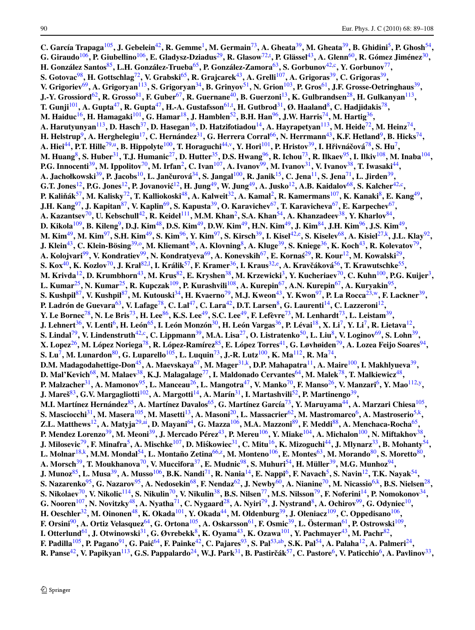**C. García Trapaga**[105](#page-4-0)**, J. Gebelein**[42](#page-3-0)**, R. Gemme**[1](#page-2-0)**, M. Germain**[73](#page-4-0)**, A. Gheata**[39](#page-3-0)**, M. Gheata**[39](#page-3-0)**, B. Ghidini**[5](#page-3-0)**, P. Ghosh**[54](#page-3-0)**, G. Giraudo**[106](#page-4-0)**, P. Giubellino**[106](#page-4-0)**, E. Gladysz-Dziadus**[29](#page-3-0)**, R. Glasow**[72,](#page-4-0)[t](#page-5-0) **, P. Glässel**[43](#page-3-0)**, A. Glenn**[60](#page-3-0)**, R. Gómez Jiménez**[30](#page-3-0)**, H. González Santos**[85](#page-4-0)**, L.H. González-Trueba**[65](#page-3-0)**, P. González-Zamora**[63](#page-3-0)**, S. Gorbunov**[42](#page-3-0)[,c](#page-4-0)**, Y. Gorbunov**[77](#page-4-0)**, S. Gotovac**[98](#page-4-0)**, H. Gottschlag**[72](#page-4-0)**, V. Grabski**[65](#page-3-0)**, R. Grajcarek**[43](#page-3-0)**, A. Grelli**[107](#page-4-0)**, A. Grigoras**[39](#page-3-0)**, C. Grigoras**[39](#page-3-0)**, V. Grigoriev**[69](#page-4-0)**, A. Grigoryan**[113](#page-4-0)**, S. Grigoryan**[34](#page-3-0)**, B. Grinyov**[51](#page-3-0)**, N. Grion**[103](#page-4-0)**, P. Gros**[61](#page-3-0)**, J.F. Grosse-Oetringhaus**[39](#page-3-0)**, J.-Y. Grossiord**[62](#page-3-0)**, R. Grosso**[81](#page-4-0)**, F. Guber**[67](#page-4-0)**, R. Guernane**[40](#page-3-0)**, B. Guerzoni**[13](#page-3-0)**, K. Gulbrandsen**[28](#page-3-0)**, H. Gulkanyan**[113](#page-4-0)**, T. Gunji**[101](#page-4-0)**, A. Gupta**[47](#page-3-0)**, R. Gupta**[47](#page-3-0)**, H.-A. Gustafsson**[61](#page-3-0)[,t](#page-5-0) **, H. Gutbrod**[31](#page-3-0)**, Ø. Haaland**[8](#page-3-0)**, C. Hadjidakis**[78](#page-4-0)**, M. Haiduc**[16](#page-3-0)**, H. Hamagaki**[101](#page-4-0)**, G. Hamar**[18](#page-3-0)**, J. Hamblen**[52](#page-3-0)**, B.H. Han**[96](#page-4-0)**, J.W. Harris**[74](#page-4-0)**, M. Hartig**[36](#page-3-0)**, A. Harutyunyan**[113](#page-4-0)**, D. Hasch**[37](#page-3-0)**, D. Hasegan**[16](#page-3-0)**, D. Hatzifotiadou**[14](#page-3-0)**, A. Hayrapetyan**[113](#page-4-0)**, M. Heide**[72](#page-4-0)**, M. Heinz**[74](#page-4-0)**, H. Helstrup**[9](#page-3-0)**, A. Herghelegiu**[17](#page-3-0)**, C. Hernández**[31](#page-3-0)**, G. Herrera Corral**[66](#page-3-0)**, N. Herrmann**[43](#page-3-0)**, K.F. Hetland**[9](#page-3-0)**, B. Hicks**[74](#page-4-0)**, A. Hiei**[44](#page-3-0)**, P.T. Hille**[79](#page-4-0),[u](#page-5-0)**, B. Hippolyte**[100](#page-4-0)**, T. Horaguchi**[44](#page-3-0)[,v](#page-5-0)**, Y. Hori**[101](#page-4-0)**, P. Hristov**[39](#page-3-0)**, I. Hrivná ˇ cová ˇ** [78](#page-4-0)**, S. Hu**[7](#page-3-0)**, M. Huang**[8](#page-3-0)**, S. Huber**[31](#page-3-0)**, T.J. Humanic**[27](#page-3-0)**, D. Hutter**[35](#page-3-0)**, D.S. Hwang**[96](#page-4-0)**, R. Ichou**[73](#page-4-0)**, R. Ilkaev**[95](#page-4-0)**, I. Ilkiv**[108](#page-4-0)**, M. Inaba**[104](#page-4-0)**, P.G. Innocenti**<sup>[39](#page-3-0)</sup>, M. Ippolitov<sup>[70](#page-4-0)</sup>, M. Irfan<sup>[2](#page-2-0)</sup>, C. Ivan<sup>[107](#page-4-0)</sup>, A. Ivanov<sup>[99](#page-4-0)</sup>, M. Ivanov<sup>[31](#page-3-0)</sup>, V. Ivanov<sup>[38](#page-3-0)</sup>, T. Iwasaki<sup>[44](#page-3-0)</sup>, **A. Jachołkowski**[39](#page-3-0)**, P. Jacobs**[10](#page-3-0)**, L. Jancurová ˇ** [34](#page-3-0)**, S. Jangal**[100](#page-4-0)**, R. Janik**[15](#page-3-0)**, C. Jena**[11](#page-3-0)**, S. Jena**[71](#page-4-0)**, L. Jirden**[39](#page-3-0)**, G.T. Jones**[12](#page-3-0)**, P.G. Jones**[12](#page-3-0)**, P. Jovanovic´**[12](#page-3-0)**, H. Jung**[49](#page-3-0)**, W. Jung**[49](#page-3-0)**, A. Jusko**[12](#page-3-0)**, A.B. Kaidalov**[68](#page-4-0)**, S. Kalcher**[42,](#page-3-0)[c](#page-4-0)**, P. Kalinák ˇ** [57](#page-3-0)**, M. Kalisky**[72](#page-4-0)**, T. Kalliokoski**[48](#page-3-0)**, A. Kalweit**[32](#page-3-0)**, A. Kamal**[2](#page-2-0)**, R. Kamermans**[107](#page-4-0)**, K. Kanaki**[8](#page-3-0)**, E. Kang**[49](#page-3-0)**, J.H. Kang**[97](#page-4-0)**, J. Kapitan**[87](#page-4-0)**, V. Kaplin**[69](#page-4-0)**, S. Kapusta**[39](#page-3-0)**, O. Karavichev**[67](#page-4-0)**, T. Karavicheva**[67](#page-4-0)**, E. Karpechev**[67](#page-4-0)**, A. Kazantsev**[70](#page-4-0)**, U. Kebschull**[42](#page-3-0)**, R. Keidel**[111](#page-4-0)**, M.M. Khan**[2](#page-2-0)**, S.A. Khan**[54](#page-3-0)**, A. Khanzadeev**[38](#page-3-0)**, Y. Kharlov**[84](#page-4-0)**, D. Kikola**[109](#page-4-0)**, B. Kileng**[9](#page-3-0)**, D.J. Kim**[48](#page-3-0)**, D.S. Kim**[49](#page-3-0)**, D.W. Kim**[49](#page-3-0)**, H.N. Kim**[49](#page-3-0)**, J. Kim**[84](#page-4-0)**, J.H. Kim**[96](#page-4-0)**, J.S. Kim**[49](#page-3-0)**, M. Kim**[49](#page-3-0)**, M. Kim**[97](#page-4-0)**, S.H. Kim**[49](#page-3-0)**, S. Kim**[96](#page-4-0)**, Y. Kim**[97](#page-4-0)**, S. Kirsch**[39](#page-3-0)**, I. Kisel**[42,](#page-3-0)[e](#page-4-0)**, S. Kiselev**[68](#page-4-0)**, A. Kisiel**[27](#page-3-0)[,k](#page-4-0)**, J.L. Klay**[92](#page-4-0)**, J. Klein**[43](#page-3-0)**, C. Klein-Bösing**[39](#page-3-0),[o](#page-5-0)**, M. Kliemant**[36](#page-3-0)**, A. Klovning**[8](#page-3-0)**, A. Kluge**[39](#page-3-0)**, S. Kniege**[36](#page-3-0)**, K. Koch**[43](#page-3-0)**, R. Kolevatov**[79](#page-4-0)**, A. Kolojvari**[99](#page-4-0)**, V. Kondratiev**[99](#page-4-0)**, N. Kondratyeva**[69](#page-4-0)**, A. Konevskih**[67](#page-4-0)**, E. Kornas´**[29](#page-3-0)**, R. Kour**[12](#page-3-0)**, M. Kowalski**[29](#page-3-0)**, S. Kox**[40](#page-3-0)**, K. Kozlov**[70](#page-4-0)**, J. Kral**[82,l](#page-4-0) **, I. Králik**[57](#page-3-0)**, F. Kramer**[36](#page-3-0)**, I. Kraus**[32](#page-3-0)[,e](#page-4-0)**, A. Kravcáková ˇ** [56](#page-3-0)**, T. Krawutschke**[55](#page-3-0)**, M. Krivda**[12](#page-3-0)**, D. Krumbhorn**[43](#page-3-0)**, M. Krus**[82](#page-4-0)**, E. Kryshen**[38](#page-3-0)**, M. Krzewicki**[3](#page-3-0)**, Y. Kucheriaev**[70](#page-4-0)**, C. Kuhn**[100](#page-4-0)**, P.G. Kuijer**[3](#page-3-0)**, L. Kumar**[25](#page-3-0)**, N. Kumar**[25](#page-3-0)**, R. Kupczak**[109](#page-4-0)**, P. Kurashvili**[108](#page-4-0)**, A. Kurepin**[67](#page-4-0)**, A.N. Kurepin**[67](#page-4-0)**, A. Kuryakin**[95](#page-4-0)**, S. Kushpil**[87](#page-4-0)**, V. Kushpil**[87](#page-4-0)**, M. Kutouski**[34](#page-3-0)**, H. Kvaerno**[79](#page-4-0)**, M.J. Kweon**[43](#page-3-0)**, Y. Kwon**[97](#page-4-0)**, P. La Rocca**[23](#page-3-0)[,w](#page-5-0)**, F. Lackner**[39](#page-3-0)**, P. Ladrón de Guevara**[63](#page-3-0)**, V. Lafage**[78](#page-4-0)**, C. Lal**[47](#page-3-0)**, C. Lara**[42](#page-3-0)**, D.T. Larsen**[8](#page-3-0)**, G. Laurenti**[14](#page-3-0)**, C. Lazzeroni**[12](#page-3-0)**, Y. Le Bornec**[78](#page-4-0)**, N. Le Bris**[73](#page-4-0)**, H. Lee**[86](#page-4-0)**, K.S. Lee**[49](#page-3-0)**, S.C. Lee**[49](#page-3-0)**, F. Lefèvre**[73](#page-4-0)**, M. Lenhardt**[73](#page-4-0)**, L. Leistam**[39](#page-3-0)**, J. Lehnert**[36](#page-3-0)**, V. Lenti**[6](#page-3-0)**, H. León**[65](#page-3-0)**, I. León Monzón**[30](#page-3-0)**, H. León Vargas**[36](#page-3-0)**, P. Lévai**[18](#page-3-0)**, X. Li**[7](#page-3-0)**, Y. Li**[7](#page-3-0)**, R. Lietava**[12](#page-3-0)**, S. Lindal**[79](#page-4-0)**, V. Lindenstruth**[42](#page-3-0)[,c](#page-4-0)**, C. Lippmann**[39](#page-3-0)**, M.A. Lisa**[27](#page-3-0)**, O. Listratenko**[50](#page-3-0)**, L. Liu**[8](#page-3-0)**, V. Loginov**[69](#page-4-0)**, S. Lohn**[39](#page-3-0)**, X. Lopez**[26](#page-3-0)**, M. López Noriega**[78](#page-4-0)**, R. López-Ramírez**[85](#page-4-0)**, E. López Torres**[41](#page-3-0)**, G. Løvhøiden**[79](#page-4-0)**, A. Lozea Feijo Soares**[94](#page-4-0)**, S. Lu**[7](#page-3-0)**, M. Lunardon**[80](#page-4-0)**, G. Luparello**[105](#page-4-0)**, L. Luquin**[73](#page-4-0)**, J.-R. Lutz**[100](#page-4-0)**, K. Ma**[112](#page-4-0)**, R. Ma**[74](#page-4-0)**, D.M. Madagodahettige-Don**[45](#page-3-0)**, A. Maevskaya**[67](#page-4-0)**, M. Mager**[31](#page-3-0)[,k](#page-4-0)**, D.P. Mahapatra**[11](#page-3-0)**, A. Maire**[100](#page-4-0)**, I. Makhlyueva**[39](#page-3-0)**, D. Mal'Kevich**[68](#page-4-0)**, M. Malaev**[38](#page-3-0)**, K.J. Malagalage**[77](#page-4-0)**, I. Maldonado Cervantes**[64](#page-3-0)**, M. Malek**[78](#page-4-0)**, T. Malkiewicz**[48](#page-3-0)**, P. Malzacher**[31](#page-3-0)**, A. Mamonov**[95](#page-4-0)**, L. Manceau**[26](#page-3-0)**, L. Mangotra**[47](#page-3-0)**, V. Manko**[70](#page-4-0)**, F. Manso**[26](#page-3-0)**, V. Manzari**[6](#page-3-0)**, Y. Mao**[112](#page-4-0)[,y](#page-5-0)**, J. Mareš**[83](#page-4-0)**, G.V. Margagliotti**[102](#page-4-0)**, A. Margotti**[14](#page-3-0)**, A. Marín**[31](#page-3-0)**, I. Martashvili**[52](#page-3-0)**, P. Martinengo**[39](#page-3-0)**, M.I. Martínez Hernández**<sup>[85](#page-4-0)</sup>, A. Martínez Davalos<sup>[65](#page-3-0)</sup>, G. Martínez García<sup>[73](#page-4-0)</sup>, Y. Maruyama<sup>[44](#page-3-0)</sup>, A. Marzari Chiesa<sup>[105](#page-4-0)</sup>, **S. Masciocchi**[31](#page-3-0)**, M. Masera**[105](#page-4-0)**, M. Masetti**[13](#page-3-0)**, A. Masoni**[20](#page-3-0)**, L. Massacrier**[62](#page-3-0)**, M. Mastromarco**[6](#page-3-0)**, A. Mastroserio**[5](#page-3-0)[,k](#page-4-0)**, Z.L. Matthews**[12](#page-3-0)**, A. Matyja**[29](#page-3-0)[,ai](#page-5-0)**, D. Mayani**[64](#page-3-0)**, G. Mazza**[106](#page-4-0)**, M.A. Mazzoni**[89](#page-4-0)**, F. Meddi**[88](#page-4-0)**, A. Menchaca-Rocha**[65](#page-3-0)**, P. Mendez Lorenzo**[39](#page-3-0)**, M. Meoni**[39](#page-3-0)**, J. Mercado Pérez**[43](#page-3-0)**, P. Mereu**[106](#page-4-0)**, Y. Miake**[104](#page-4-0)**, A. Michalon**[100](#page-4-0)**, N. Miftakhov**[38](#page-3-0)**, J. Milosevic**[79](#page-4-0)**, F. Minafra**[5](#page-3-0)**, A. Mischke**[107](#page-4-0)**, D. Miskowiec ´** [31](#page-3-0)**, C. Mitu**[16](#page-3-0)**, K. Mizoguchi**[44](#page-3-0)**, J. Mlynarz**[33](#page-3-0)**, B. Mohanty**[54](#page-3-0)**, L. Molnar**[18](#page-3-0)[,k](#page-4-0)**, M.M. Mondal**[54](#page-3-0)**, L. Montaño Zetina**[66,](#page-3-0)[z](#page-5-0)**, M. Monteno**[106](#page-4-0)**, E. Montes**[63](#page-3-0)**, M. Morando**[80](#page-4-0)**, S. Moretto**[80](#page-4-0)**, A. Morsch**[39](#page-3-0)**, T. Moukhanova**[70](#page-4-0)**, V. Muccifora**[37](#page-3-0)**, E. Mudnic**[98](#page-4-0)**, S. Muhuri**[54](#page-3-0)**, H. Müller**[39](#page-3-0)**, M.G. Munhoz**[94](#page-4-0)**, J. Munoz**[85](#page-4-0)**, L. Musa**[39](#page-3-0)**, A. Musso**[106](#page-4-0)**, B.K. Nandi**[71](#page-4-0)**, R. Nania**[14](#page-3-0)**, E. Nappi**[6](#page-3-0)**, F. Navach**[5](#page-3-0)**, S. Navin**[12](#page-3-0)**, T.K. Nayak**[54](#page-3-0)**, S. Nazarenko**[95](#page-4-0)**, G. Nazarov**[95](#page-4-0)**, A. Nedosekin**[68](#page-4-0)**, F. Nendaz**[62](#page-3-0)**, J. Newby**[60](#page-3-0)**, A. Nianine**[70](#page-4-0)**, M. Nicassio**[6](#page-3-0)[,k](#page-4-0)**, B.S. Nielsen**[28](#page-3-0)**, S. Nikolaev**[70](#page-4-0)**, V. Nikolic**[114](#page-4-0)**, S. Nikulin**[70](#page-4-0)**, V. Nikulin**[38](#page-3-0)**, B.S. Nilsen**[77](#page-4-0)**, M.S. Nilsson**[79](#page-4-0)**, F. Noferini**[14](#page-3-0)**, P. Nomokonov**[34](#page-3-0)**, G. Nooren**[107](#page-4-0)**, N. Novitzky**[48](#page-3-0)**, A. Nyatha**[71](#page-4-0)**, C. Nygaard**[28](#page-3-0)**, A. Nyiri**[79](#page-4-0)**, J. Nystrand**[8](#page-3-0)**, A. Ochirov**[99](#page-4-0)**, G. Odyniec**[10](#page-3-0)**, H. Oeschler**[32](#page-3-0)**, M. Oinonen**[48](#page-3-0)**, K. Okada**[101](#page-4-0)**, Y. Okada**[44](#page-3-0)**, M. Oldenburg**[39](#page-3-0)**, J. Oleniacz**[109](#page-4-0)**, C. Oppedisano**[106](#page-4-0)**, F. Orsini**[90](#page-4-0)**, A. Ortiz Velasquez**[64](#page-3-0)**, G. Ortona**[105](#page-4-0)**, A. Oskarsson**[61](#page-3-0)**, F. Osmic**[39](#page-3-0)**, L. Österman**[61](#page-3-0)**, P. Ostrowski**[109](#page-4-0)**, I. Otterlund**[61](#page-3-0)**, J. Otwinowski**[31](#page-3-0)**, G. Øvrebekk**[8](#page-3-0)**, K. Oyama**[43](#page-3-0)**, K. Ozawa**[101](#page-4-0)**, Y. Pachmayer**[43](#page-3-0)**, M. Pachr**[82](#page-4-0)**, F. Padilla**[105](#page-4-0)**, P. Pagano**[91](#page-4-0)**, G. Paic´**[64](#page-3-0)**, F. Painke**[42](#page-3-0)**, C. Pajares**[93](#page-4-0)**, S. Pal**[53,](#page-3-0)[ab](#page-5-0)**, S.K. Pal**[54](#page-3-0)**, A. Palaha**[12](#page-3-0)**, A. Palmeri**[24](#page-3-0)**, R. Panse**[42](#page-3-0)**, V. Papikyan**[113](#page-4-0)**, G.S. Pappalardo**[24](#page-3-0)**, W.J. Park**[31](#page-3-0)**, B. Pastircák ˇ** [57](#page-3-0)**, C. Pastore**[6](#page-3-0)**, V. Paticchio**[6](#page-3-0)**, A. Pavlinov**[33](#page-3-0)**,**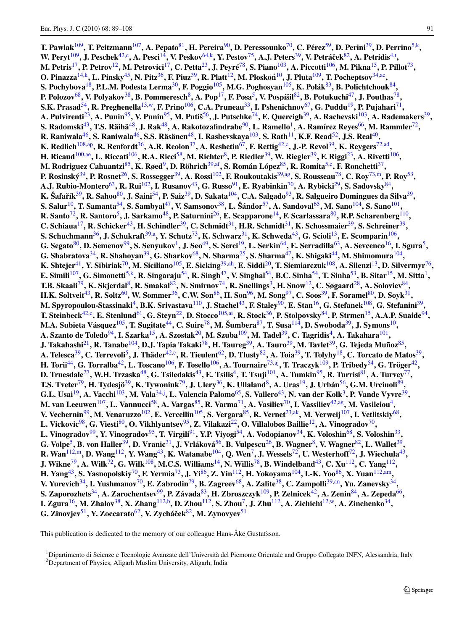<span id="page-2-0"></span>**T. Pawlak**[109](#page-4-0)**, T. Peitzmann**[107](#page-4-0)**, A. Pepato**[81](#page-4-0)**, H. Pereira**[90](#page-4-0)**, D. Peressounko**[70](#page-4-0)**, C. Pérez**[59](#page-3-0)**, D. Perini**[39](#page-3-0)**, D. Perrino**[5,](#page-3-0)[k](#page-4-0)**, W. Pery[t](#page-5-0)** $^{109}$  $^{109}$  $^{109}$ **, J. Peschek** $^{42,c}$  $^{42,c}$  $^{42,c}$  $^{42,c}$ **, A. Pesci** $^{14}$  $^{14}$  $^{14}$ **, V. Peskov** $^{64,k}$  $^{64,k}$  $^{64,k}$  $^{64,k}$ **, Y. Pestov** $^{75}$  $^{75}$  $^{75}$ **, A.J. Peters** $^{39}$  $^{39}$  $^{39}$ **, V. Petráček** $^{82}$  $^{82}$  $^{82}$ **, A. Petridis** $^{4,t}$  $^{4,t}$  $^{4,t}$ **, M. Petris**[17](#page-3-0)**, P. Petrov**[12](#page-3-0)**, M. Petrovici**[17](#page-3-0)**, C. Petta**[23](#page-3-0)**, J. Peyré**[78](#page-4-0)**, S. Piano**[103](#page-4-0)**, A. Piccotti**[106](#page-4-0)**, M. Pikna**[15](#page-3-0)**, P. Pillot**[73](#page-4-0)**, O. Pinazza**[14](#page-3-0)[,k](#page-4-0)**, L. Pinsky**[45](#page-3-0)**, N. Pitz**[36](#page-3-0)**, F. Piuz**[39](#page-3-0)**, R. Platt**[12](#page-3-0)**, M. Płoskon´** [10](#page-3-0)**, J. Pluta**[109](#page-4-0)**, T. Pocheptsov**[34,](#page-3-0)[ac](#page-5-0)**, S. Pochybova**[18](#page-3-0)**, P.L.M. Podesta Lerma**[30](#page-3-0)**, F. Poggio**[105](#page-4-0)**, M.G. Poghosyan**[105](#page-4-0)**, K. Polák**[83](#page-4-0)**, B. Polichtchouk**[84](#page-4-0)**, P. Polozov**[68](#page-4-0)**, V. Polyakov**[38](#page-3-0)**, B. Pommeresch**[8](#page-3-0)**, A. Pop**[17](#page-3-0)**, F. Posa**[5](#page-3-0)**, V. Pospíšil**[82](#page-4-0)**, B. Potukuchi**[47](#page-3-0)**, J. Pouthas**[78](#page-4-0)**, S.K. Prasad**[54](#page-3-0)**, R. Preghenella**[13](#page-3-0)[,w](#page-5-0)**, F. Prino**[106](#page-4-0)**, C.A. Pruneau**[33](#page-3-0)**, I. Pshenichnov**[67](#page-4-0)**, G. Puddu**[19](#page-3-0)**, P. Pujahari**[71](#page-4-0)**, A. Pulvirenti**[23](#page-3-0)**, A. Punin**[95](#page-4-0)**, V. Punin**[95](#page-4-0)**, M. Putiš**[56](#page-3-0)**, J. Putschke**[74](#page-4-0)**, E. Quercigh**[39](#page-3-0)**, A. Rachevski**[103](#page-4-0)**, A. Rademakers**[39](#page-3-0)**, S. Radomski**[43](#page-3-0)**, T.S. Räihä**[48](#page-3-0)**, J. Rak**[48](#page-3-0)**, A. Rakotozafindrabe**[90](#page-4-0)**, L. Ramello**1**, A. Ramírez Reyes**[66](#page-3-0)**, M. Rammler**[72](#page-4-0)**, R. Raniwala**[46](#page-3-0)**, S. Raniwala**[46](#page-3-0)**, S.S. Räsänen**[48](#page-3-0)**, I. Rashevskaya**[103](#page-4-0)**, S. Rath**[11](#page-3-0)**, K.F. Read**[52](#page-3-0)**, J.S. Real**[40](#page-3-0)**, K. Redlich**[108](#page-4-0)[,ap](#page-5-0)**, R. Renfordt**[36](#page-3-0)**, A.R. Reolon**[37](#page-3-0)**, A. Reshetin**[67](#page-4-0)**, F. Rettig**[42](#page-3-0)[,c](#page-4-0)**, J.-P. Revol**[39](#page-3-0)**, K. Reygers**[72,](#page-4-0)[ad](#page-5-0)**, H. Ricaud**[100](#page-4-0)[,ae](#page-5-0)**, L. Riccati**[106](#page-4-0)**, R.A. Ricci**[58](#page-3-0)**, M. Richter**[8](#page-3-0)**, P. Riedler**[39](#page-3-0)**, W. Riegler**[39](#page-3-0)**, F. Riggi**[23](#page-3-0)**, A. Rivetti**[106](#page-4-0)**, M. Rodriguez Cahuantzi**[85](#page-4-0)**, K. Røed**[9](#page-3-0)**, D. Röhrich**[39,](#page-3-0)[af](#page-5-0)**, S. Román López**[85](#page-4-0)**, R. Romita**[5,](#page-3-0)[e](#page-4-0)**, F. Ronchetti**[37](#page-3-0)**, P. Rosinský**[39](#page-3-0)**, P. Rosnet**[26](#page-3-0)**, S. Rossegger**[39](#page-3-0)**, A. Rossi**[102](#page-4-0)**, F. Roukoutakis**[39](#page-3-0),[ag](#page-5-0)**, S. Rousseau**[78](#page-4-0)**, C. Roy**[73](#page-4-0)[,m](#page-5-0)**, P. Roy**[53](#page-3-0)**, A.J. Rubio-Montero**[63](#page-3-0)**, R. Rui**[102](#page-4-0)**, I. Rusanov**[43](#page-3-0)**, G. Russo**[91](#page-4-0)**, E. Ryabinkin**[70](#page-4-0)**, A. Rybicki**[29](#page-3-0)**, S. Sadovsky**[84](#page-4-0)**, K. Šafaríkˇ** [39](#page-3-0)**, R. Sahoo**[80](#page-4-0)**, J. Saini**[54](#page-3-0)**, P. Saiz**[39](#page-3-0)**, D. Sakata**[104](#page-4-0)**, C.A. Salgado**[93](#page-4-0)**, R. Salgueiro Domingues da Silva**[39](#page-3-0)**, S. Salur**[10](#page-3-0)**, T. Samanta**[54](#page-3-0)**, S. Sambyal**[47](#page-3-0)**, V. Samsonov**[38](#page-3-0)**, L. Šándor**[57](#page-3-0)**, A. Sandoval**[65](#page-3-0)**, M. Sano**[104](#page-4-0)**, S. Sano**[101](#page-4-0)**, R. Santo**[72](#page-4-0)**, R. Santoro**[5](#page-3-0)**, J. Sarkamo**[48](#page-3-0)**, P. Saturnini**[26](#page-3-0)**, E. Scapparone**[14](#page-3-0)**, F. Scarlassara**[80](#page-4-0)**, R.P. Scharenberg**[110](#page-4-0)**, C. Schiaua**[17](#page-3-0)**, R. Schicker**[43](#page-3-0)**, H. Schindler**[39](#page-3-0)**, C. Schmidt**[31](#page-3-0)**, H.R. Schmidt**[31](#page-3-0)**, K. Schossmaier**[39](#page-3-0)**, S. Schreiner**[39](#page-3-0)**, S. Schuchmann**[36](#page-3-0)**, J. Schukraft**[39,](#page-3-0)[a](#page-4-0)**, Y. Schutz**[73](#page-4-0)**, K. Schwarz**[31](#page-3-0)**, K. Schweda**[43](#page-3-0)**, G. Scioli**[13](#page-3-0)**, E. Scomparin**[106](#page-4-0)**, G. Segato**[80](#page-4-0)**, D. Semenov**[99](#page-4-0)**, S. Senyukov**1**, J. Seo**[49](#page-3-0)**, S. Serci**[19](#page-3-0)**, L. Serkin**[64](#page-3-0)**, E. Serradilla**[63](#page-3-0)**, A. Sevcenco**[16](#page-3-0)**, I. Sgura**[5](#page-3-0)**, G. Shabratova**[34](#page-3-0)**, R. Shahoyan**[39](#page-3-0)**, G. Sharkov**[68](#page-4-0)**, N. Sharma**[25](#page-3-0)**, S. Sharma**[47](#page-3-0)**, K. Shigaki**[44](#page-3-0)**, M. Shimomura**[104](#page-4-0)**, K. Shtejer**[41](#page-3-0)**, Y. Sibiriak**[70](#page-4-0)**, M. Siciliano**[105](#page-4-0)**, E. Sicking**[39](#page-3-0)[,ah](#page-5-0)**, E. Siddi**[20](#page-3-0)**, T. Siemiarczuk**[108](#page-4-0)**, A. Silenzi**[13](#page-3-0)**, D. Silvermyr**[76](#page-4-0)**, E.** Simili<sup>[107](#page-4-0)</sup>, G. Simonetti<sup>[5,](#page-3-0)[k](#page-4-0)</sup>, R. Singaraju<sup>[54](#page-3-0)</sup>, R. Singh<sup>[47](#page-3-0)</sup>, V. Singhal<sup>54</sup>, B.C. Sinha<sup>54</sup>, T. Sinha<sup>[53](#page-3-0)</sup>, B. Sitar<sup>[15](#page-3-0)</sup>, M. Sitta<sup>1</sup>, **T.B. Skaali**[79](#page-4-0)**, K. Skjerdal**[8](#page-3-0)**, R. Smakal**[82](#page-4-0)**, N. Smirnov**[74](#page-4-0)**, R. Snellings**[3](#page-3-0)**, H. Snow**[12](#page-3-0)**, C. Søgaard**[28](#page-3-0)**, A. Soloviev**[84](#page-4-0)**, H.K. Soltveit**[43](#page-3-0)**, R. Soltz**[60](#page-3-0)**, W. Sommer**[36](#page-3-0)**, C.W. Son**[86](#page-4-0)**, H. Son**[96](#page-4-0)**, M. Song**[97](#page-4-0)**, C. Soos**[39](#page-3-0)**, F. Soramel**[80](#page-4-0)**, D. Soyk**[31](#page-3-0)**, M. Spyropoulou-Stassinaki**[4](#page-3-0)**, B.K. Srivastava**[110](#page-4-0)**, J. Stachel**[43](#page-3-0)**, F. Staley**[90](#page-4-0)**, E. Stan**[16](#page-3-0)**, G. Stefanek**[108](#page-4-0)**, G. Stefanini**[39](#page-3-0)**, T. Steinbeck**[42,](#page-3-0)[c](#page-4-0)**, E. Stenlund**[61](#page-3-0)**, G. Steyn**[22](#page-3-0)**, D. Stocco**[105,](#page-4-0)[ai](#page-5-0)**, R. Stock**[36](#page-3-0)**, P. Stolpovsky**[84](#page-4-0)**, P. Strmen**[15](#page-3-0)**, A.A.P. Suaide**[94](#page-4-0)**, M.A. Subieta Vásquez**[105](#page-4-0)**, T. Sugitate**[44](#page-3-0)**, C. Suire**[78](#page-4-0)**, M. Šumbera**[87](#page-4-0)**, T. Susa**[114](#page-4-0)**, D. Swoboda**[39](#page-3-0)**, J. Symons**[10](#page-3-0)**, A. Szanto de Toledo**[94](#page-4-0)**, I. Szarka**[15](#page-3-0)**, A. Szostak**[20](#page-3-0)**, M. Szuba**[109](#page-4-0)**, M. Tadel**[39](#page-3-0)**, C. Tagridis**[4](#page-3-0)**, A. Takahara**[101](#page-4-0)**, J. Takahashi**[21](#page-3-0)**, R. Tanabe**[104](#page-4-0)**, D.J. Tapia Takaki**[78](#page-4-0)**, H. Taureg**[39](#page-3-0)**, A. Tauro**[39](#page-3-0)**, M. Tavlet**[39](#page-3-0)**, G. Tejeda Muñoz**[85](#page-4-0)**, A. Telesca**[39](#page-3-0)**, C. Terrevoli**[5](#page-3-0)**, J. Thäder**[42,](#page-3-0)[c](#page-4-0)**, R. Tieulent**[62](#page-3-0)**, D. Tlusty**[82](#page-4-0)**, A. Toia**[39](#page-3-0)**, T. Tolyhy**[18](#page-3-0)**, C. Torcato de Matos**[39](#page-3-0)**, H. Torii**[44](#page-3-0)**, G. Torralba**[42](#page-3-0)**, L. Toscano**[106](#page-4-0)**, F. Tosello**[106](#page-4-0)**, A. Tournaire**[73](#page-4-0)[,aj](#page-5-0)**, T. Traczyk**[109](#page-4-0)**, P. Tribedy**[54](#page-3-0)**, G. Tröger**[42](#page-3-0)**, D. Truesdale**<sup>[27](#page-3-0)</sup>, W.H. Trzaska<sup>[48](#page-3-0)</sup>, G. Tsiledakis<sup>[43](#page-3-0)</sup>, E. Tsilis<sup>[4](#page-3-0)</sup>, T. Tsuji<sup>[101](#page-4-0)</sup>, A. Tumkin<sup>[95](#page-4-0)</sup>, R. Turrisi<sup>[81](#page-4-0)</sup>, A. Turvey<sup>[77](#page-4-0)</sup>, **T.S. Tveter**[79](#page-4-0)**, H. Tydesjö**[39](#page-3-0)**, K. Tywoniuk**[79](#page-4-0)**, J. Ulery**[36](#page-3-0)**, K. Ullaland**[8](#page-3-0)**, A. Uras**[19](#page-3-0)**, J. Urbán**[56](#page-3-0)**, G.M. Urciuoli**[89](#page-4-0)**, G.L. Usai**[19](#page-3-0)**, A. Vacchi**[103](#page-4-0)**, M. Vala**[34,](#page-3-0)[j](#page-4-0) **, L. Valencia Palomo**[65](#page-3-0)**, S. Vallero**[43](#page-3-0)**, N. van der Kolk**[3](#page-3-0)**, P. Vande Vyvre**[39](#page-3-0)**, M. van Leeuwen**[107](#page-4-0)**, L. Vannucci**[58](#page-3-0)**, A. Vargas**[85](#page-4-0)**, R. Varma**[71](#page-4-0)**, A. Vasiliev**[70](#page-4-0)**, I. Vassiliev**[42](#page-3-0),[ag](#page-5-0)**, M. Vasileiou**[4](#page-3-0)**, V. Vechernin**[99](#page-4-0)**, M. Venaruzzo**[102](#page-4-0)**, E. Vercellin**[105](#page-4-0)**, S. Vergara**[85](#page-4-0)**, R. Vernet**[23,](#page-3-0)[ak](#page-5-0)**, M. Verweij**[107](#page-4-0)**, I. Vetlitskiy**[68](#page-4-0)**, L. Vickovic**[98](#page-4-0)**, G. Viesti**[80](#page-4-0)**, O. Vikhlyantsev**[95](#page-4-0)**, Z. Vilakazi**[22](#page-3-0)**, O. Villalobos Baillie**[12](#page-3-0)**, A. Vinogradov**[70](#page-4-0)**, L. Vinogradov**[99](#page-4-0)**, Y. Vinogradov**[95](#page-4-0)**, T. Virgili**[91](#page-4-0)**, Y.P. Viyogi**[54](#page-3-0)**, A. Vodopianov**[34](#page-3-0)**, K. Voloshin**[68](#page-4-0)**, S. Voloshin**[33](#page-3-0)**, G. Volpe**[5](#page-3-0)**, B. von Haller**[39](#page-3-0)**, D. Vranic**[31](#page-3-0)**, J. Vrláková**[56](#page-3-0)**, B. Vulpescu**[26](#page-3-0)**, B. Wagner**[8](#page-3-0)**, V. Wagner**[82](#page-4-0)**, L. Wallet**[39](#page-3-0)**, R. Wan**[112](#page-4-0)[,m](#page-5-0)**, D. Wang**[112](#page-4-0)**, Y. Wang**[43](#page-3-0)**, K. Watanabe**[104](#page-4-0)**, Q. Wen**[7](#page-3-0)**, J. Wessels**[72](#page-4-0)**, U. Westerhoff**[72](#page-4-0)**, J. Wiechula**[43](#page-3-0)**, J. Wikne**[79](#page-4-0)**, A. Wilk**[72](#page-4-0)**, G. Wilk**[108](#page-4-0)**, M.C.S. Williams**[14](#page-3-0)**, N. Willis**[78](#page-4-0)**, B. Windelband**[43](#page-3-0)**, C. Xu**[112](#page-4-0)**, C. Yang**[112](#page-4-0)**, H. Yang**[43](#page-3-0)**, S. Yasnopolskiy**[70](#page-4-0)**, F. Yermia**[73](#page-4-0)**, J. Yi**[86](#page-4-0)**, Z. Yin**[112](#page-4-0)**, H. Yokoyama**[104](#page-4-0)**, I.-K. Yoo**[86](#page-4-0)**, X. Yuan**[112,](#page-4-0)[am](#page-5-0)**, V. Yurevich**[34](#page-3-0)**, I. Yushmanov**[70](#page-4-0)**, E. Zabrodin**[79](#page-4-0)**, B. Zagreev**[68](#page-4-0)**, A. Zalite**[38](#page-3-0)**, C. Zampolli**[39](#page-3-0)[,an](#page-5-0)**, Yu. Zanevsky**[34](#page-3-0)**, S. Zaporozhets**[34](#page-3-0)**, A. Zarochentsev**[99](#page-4-0)**, P. Závada**[83](#page-4-0)**, H. Zbroszczyk**[109](#page-4-0)**, P. Zelnicek**[42](#page-3-0)**, A. Zenin**[84](#page-4-0)**, A. Zepeda**[66](#page-3-0)**, I. Zgura**[16](#page-3-0)**, M. Zhalov**[38](#page-3-0)**, X. Zhang**[112,b](#page-4-0)**, D. Zhou**[112](#page-4-0)**, S. Zhou**[7](#page-3-0)**, J. Zhu**[112](#page-4-0)**, A. Zichichi**[12,](#page-3-0)[w](#page-5-0)**, A. Zinchenko**[34](#page-3-0)**, G. Zinovjev**[51](#page-3-0)**, Y. Zoccarato**[62](#page-3-0)**, V. Zychácek ˇ** [82](#page-4-0)**, M. Zynovyev**[51](#page-3-0)

This publication is dedicated to the memory of our colleague Hans-Åke Gustafsson.

<sup>&</sup>lt;sup>1</sup>Dipartimento di Scienze e Tecnologie Avanzate dell'Università del Piemonte Orientale and Gruppo Collegato INFN, Alessandria, Italy

<sup>&</sup>lt;sup>2</sup> Department of Physics, Aligarh Muslim University, Aligarh, India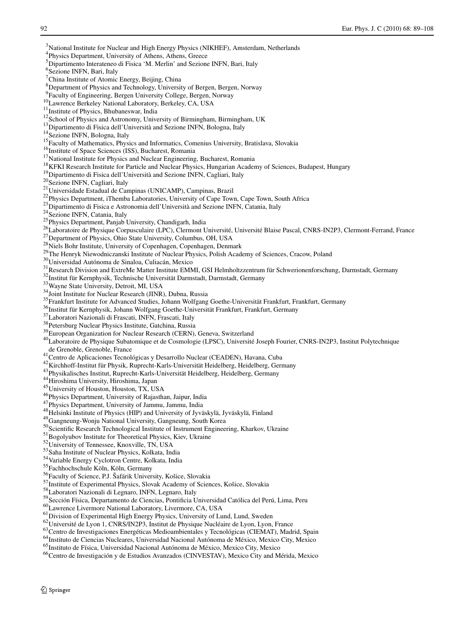- <span id="page-3-0"></span><sup>3</sup>National Institute for Nuclear and High Energy Physics (NIKHEF), Amsterdam, Netherlands
- <sup>4</sup>Physics Department, University of Athens, Athens, Greece
- <sup>5</sup>Dipartimento Interateneo di Fisica 'M. Merlin' and Sezione INFN, Bari, Italy
- <sup>6</sup>Sezione INFN, Bari, Italy
- <sup>7</sup> China Institute of Atomic Energy, Beijing, China
- <sup>8</sup>Department of Physics and Technology, University of Bergen, Bergen, Norway
- <sup>9</sup> Faculty of Engineering, Bergen University College, Bergen, Norway
- 
- 
- 
- 
- 
- 
- 
- 
- 
- 
- 
- 
- 
- 
- 
- 
- <sup>3</sup>Faculty of Engineering, Bergen University College, Bregen, Norway<br><sup>19</sup>Haculty of Engineering, Bergen University College, Bregen, Norway<br><sup>11</sup>Institute of Physics ,Bhubaneswar, India<br><sup>125</sup>Colool of Physics and Astronomy,
- 
- 
- 
- 
- 
- 
- 
- 
- 
- 
- 
- 
- 
- <sup>34</sup> Joint Institute for Nuclear Research (JINR), Dubna, Russia<br>
<sup>35</sup> Frankfurt Institute for Advanced Studies, Johann Wolfgang Goethe-Universität Frankfurt, Frankfurt, Germany<br>
<sup>36</sup> Institut für Kernphysik, Johann Wolfga
- 
- 
- 
- 
- 
- 
- 
- 
- 
- 
- 
- 
- 
- 
- 
- 
- 
- 
- 
- 
- 
- 
- 
- 
- 
- de Grenoble, Grenoble, France<br>
<sup>41</sup> Centro de Aplicaciones Tecnológicas y Desarrollo Nuclear (CEADEN), Havana, Cuba<br>
<sup>42</sup> Kirchhoff-Institut für Physik, Ruprecht-Karls-Universität Heidelberg, Heidelberg, Germany<br>
<sup>42</sup> Kirc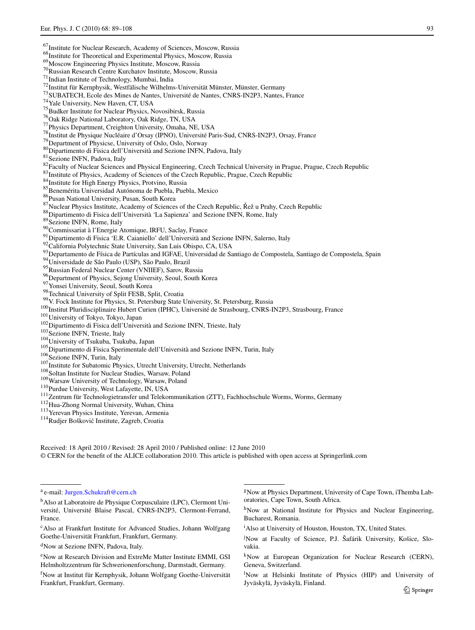- 
- 
- 
- 
- 
- 
- 
- 
- 
- 
- 
- 
- 
- 
- 
- 
- 
- 
- 
- 
- 
- 
- 
- <span id="page-4-0"></span><sup>671</sup> Institute for Nuclear Research, Academy of Sciences, Moscow, Russia<br><sup>671</sup> Institute for Theoretical and Experimental Physics, Moscow, Russia<br><sup>69</sup> Moscow Engineering Physics Institute. Moscow, Russia<br><sup>70</sup> Nussian Rese
- 
- 
- <sup>94</sup>Universidade de São Paulo (USP), São Paulo, Brazil<br><sup>95</sup>Russian Federal Nuclear Center (VNIIEF), Sarov, Russia<br><sup>96</sup>Department of Physics, Sejong University, Seoul, South Korea
- 
- 
- 
- <sup>96</sup> Department of Physics, Sejong University, Seoul, South Korea<br><sup>97</sup> Yonse University, Seoul, South Korea<br><sup>99</sup> Yonse University, Scoli, South Korea<br><sup>99</sup> Yonse University of Split FESB, Split, Croatia<br><sup>99</sup> V. Fock Institu
- 
- 
- 
- 
- 
- 
- 
- 
- 
- 
- 
- 
- 
- 

Received: 18 April 2010 / Revised: 28 April 2010 / Published online: 12 June 2010 © CERN for the benefit of the ALICE collaboration 2010. This article is published with open access at Springerlink.com

f Now at Institut für Kernphysik, Johann Wolfgang Goethe-Universität Frankfurt, Frankfurt, Germany.

- <sup>g</sup>Now at Physics Department, University of Cape Town, iThemba Laboratories, Cape Town, South Africa.
- h<sub>Now</sub> at National Institute for Physics and Nuclear Engineering, Bucharest, Romania.
- <sup>i</sup> Also at University of Houston, Houston, TX, United States.
- j Now at Faculty of Science, P.J. Šafárik University, Košice, Slovakia.
- kNow at European Organization for Nuclear Research (CERN), Geneva, Switzerland.
- <sup>1</sup>Now at Helsinki Institute of Physics (HIP) and University of Jyväskylä, Jyväskylä, Finland.

<sup>a</sup> e-mail: [Jurgen.Schukraft@cern.ch](mailto:Jurgen.Schukraft@cern.ch)

bAlso at Laboratoire de Physique Corpusculaire (LPC), Clermont Université, Université Blaise Pascal, CNRS-IN2P3, Clermont-Ferrand, France.

cAlso at Frankfurt Institute for Advanced Studies, Johann Wolfgang Goethe-Universität Frankfurt, Frankfurt, Germany.

<sup>&</sup>lt;sup>d</sup>Now at Sezione INFN, Padova, Italy.

eNow at Research Division and ExtreMe Matter Institute EMMI, GSI Helmholtzzentrum für Schwerionenforschung, Darmstadt, Germany.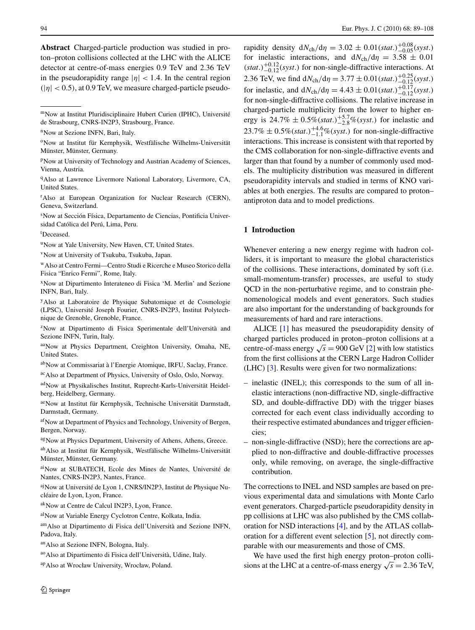<span id="page-5-0"></span>**Abstract** Charged-particle production was studied in proton–proton collisions collected at the LHC with the ALICE detector at centre-of-mass energies 0.9 TeV and 2.36 TeV in the pseudorapidity range  $|\eta|$  < 1.4. In the central region  $(|n| < 0.5)$ , at 0.9 TeV, we measure charged-particle pseudo-

oNow at Institut für Kernphysik, Westfälische Wilhelms-Universität Münster, Münster, Germany.

<sup>r</sup>Also at European Organization for Nuclear Research (CERN), Geneva, Switzerland.

s Now at Sección Física, Departamento de Ciencias, Pontificia Universidad Católica del Perú, Lima, Peru.

<sup>v</sup>Now at University of Tsukuba, Tsukuba, Japan.

wAlso at Centro Fermi—Centro Studi e Ricerche e Museo Storico della Fisica "Enrico Fermi", Rome, Italy.

xNow at Dipartimento Interateneo di Fisica 'M. Merlin' and Sezione INFN, Bari, Italy.

yAlso at Laboratoire de Physique Subatomique et de Cosmologie (LPSC), Université Joseph Fourier, CNRS-IN2P3, Institut Polytechnique de Grenoble, Grenoble, France.

<sup>z</sup>Now at Dipartimento di Fisica Sperimentale dell'Università and Sezione INFN, Turin, Italy.

aaNow at Physics Department, Creighton University, Omaha, NE, United States.

abNow at Commissariat à l'Energie Atomique, IRFU, Saclay, France.

acAlso at Department of Physics, University of Oslo, Oslo, Norway.

adNow at Physikalisches Institut, Ruprecht-Karls-Universität Heidelberg, Heidelberg, Germany.

aeNow at Institut für Kernphysik, Technische Universität Darmstadt, Darmstadt, Germany.

af Now at Department of Physics and Technology, University of Bergen, Bergen, Norway.

agNow at Physics Department, University of Athens, Athens, Greece.

ahAlso at Institut für Kernphysik, Westfälische Wilhelms-Universität Münster, Münster, Germany.

aiNow at SUBATECH, Ecole des Mines de Nantes, Université de Nantes, CNRS-IN2P3, Nantes, France.

<sup>aj</sup>Now at Université de Lyon 1, CNRS/IN2P3, Institut de Physique Nucléaire de Lyon, Lyon, France.

akNow at Centre de Calcul IN2P3, Lyon, France.

alNow at Variable Energy Cyclotron Centre, Kolkata, India.

amAlso at Dipartimento di Fisica dell'Università and Sezione INFN, Padova, Italy.

an Also at Sezione INFN, Bologna, Italy.

aoAlso at Dipartimento di Fisica dell'Università, Udine, Italy.

apAlso at Wrocław University, Wrocław, Poland.

rapidity density  $dN_{ch}/d\eta = 3.02 \pm 0.01(stat.)^{+0.08}_{-0.05}(syst.)$ for inelastic interactions, and  $dN_{ch}/d\eta = 3.58 \pm 0.01$  $(stat.)^{+0.12}_{-0.12}(syst.)$  for non-single-diffractive interactions. At 2.36 TeV, we find  $dN_{ch}/d\eta = 3.77 \pm 0.01(stat.)^{+0.25}_{-0.12}(syst.)$ for inelastic, and  $dN_{ch}/d\eta = 4.43 \pm 0.01(stat.)^{+0.17}_{-0.12}(syst.)$ for non-single-diffractive collisions. The relative increase in charged-particle multiplicity from the lower to higher energy is 24.7%  $\pm$  0.5% $(\text{stat.})_{-2.8}^{+5.7}$ % $(\text{syst.})$  for inelastic and  $23.7\% \pm 0.5\% (stat.)^{+4.6}_{-1.1}\% (syst.)$  for non-single-diffractive interactions. This increase is consistent with that reported by the CMS collaboration for non-single-diffractive events and larger than that found by a number of commonly used models. The multiplicity distribution was measured in different pseudorapidity intervals and studied in terms of KNO variables at both energies. The results are compared to proton– antiproton data and to model predictions.

### **1 Introduction**

Whenever entering a new energy regime with hadron colliders, it is important to measure the global characteristics of the collisions. These interactions, dominated by soft (i.e. small-momentum-transfer) processes, are useful to study QCD in the non-perturbative regime, and to constrain phenomenological models and event generators. Such studies are also important for the understanding of backgrounds for measurements of hard and rare interactions.

ALICE [\[1](#page-18-0)] has measured the pseudorapidity density of charged particles produced in proton–proton collisions at a centre-of-mass energy  $\sqrt{s}$  = 900 GeV [[2\]](#page-18-0) with low statistics from the first collisions at the CERN Large Hadron Collider (LHC) [\[3](#page-18-0)]. Results were given for two normalizations:

- inelastic (INEL); this corresponds to the sum of all inelastic interactions (non-diffractive ND, single-diffractive SD, and double-diffractive DD) with the trigger biases corrected for each event class individually according to their respective estimated abundances and trigger efficiencies;
- non-single-diffractive (NSD); here the corrections are applied to non-diffractive and double-diffractive processes only, while removing, on average, the single-diffractive contribution.

The corrections to INEL and NSD samples are based on previous experimental data and simulations with Monte Carlo event generators. Charged-particle pseudorapidity density in pp collisions at LHC was also published by the CMS collaboration for NSD interactions [\[4](#page-18-0)], and by the ATLAS collaboration for a different event selection [\[5](#page-18-0)], not directly comparable with our measurements and those of CMS.

We have used the first high energy proton–proton collisions at the LHC at a centre-of-mass energy  $\sqrt{s} = 2.36$  TeV,

mNow at Institut Pluridisciplinaire Hubert Curien (IPHC), Université de Strasbourg, CNRS-IN2P3, Strasbourg, France.

<sup>&</sup>lt;sup>n</sup>Now at Sezione INFN, Bari, Italy.

PNow at University of Technology and Austrian Academy of Sciences, Vienna, Austria.

<sup>&</sup>lt;sup>q</sup>Also at Lawrence Livermore National Laboratory, Livermore, CA, United States.

t Deceased.

<sup>&</sup>lt;sup>u</sup>Now at Yale University, New Haven, CT, United States.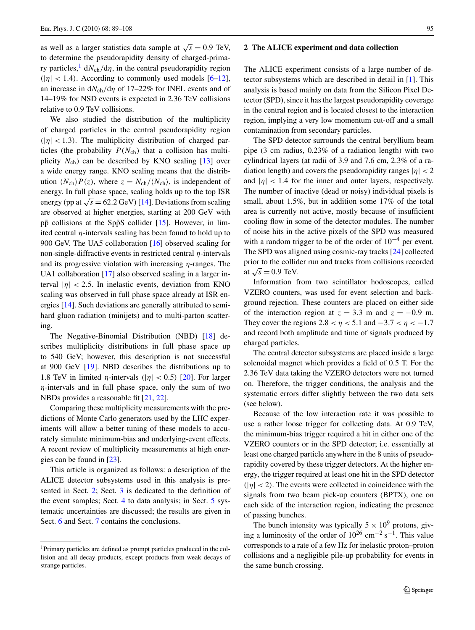<span id="page-6-0"></span>as well as a larger statistics data sample at  $\sqrt{s} = 0.9$  TeV, to determine the pseudorapidity density of charged-primary particles,<sup>1</sup> d $N_{ch}/d\eta$ , in the central pseudorapidity region  $(|\eta| < 1.4)$ . According to commonly used models  $[6-12]$ , an increase in  $dN_{ch}/d\eta$  of 17–22% for INEL events and of 14–19% for NSD events is expected in 2.36 TeV collisions relative to 0.9 TeV collisions.

We also studied the distribution of the multiplicity of charged particles in the central pseudorapidity region  $(|n| < 1.3)$ . The multiplicity distribution of charged particles (the probability  $P(N_{ch})$ ) that a collision has multiplicity  $N_{ch}$ ) can be described by KNO scaling [[13\]](#page-18-0) over a wide energy range. KNO scaling means that the distribution  $\langle N_{\text{ch}} \rangle P(z)$ , where  $z = N_{\text{ch}} / \langle N_{\text{ch}} \rangle$ , is independent of energy. In full phase space, scaling holds up to the top ISR energy (pp at  $\sqrt{s}$  = 62.2 GeV) [[14\]](#page-18-0). Deviations from scaling are observed at higher energies, starting at 200 GeV with  $p\bar{p}$  collisions at the Sp $\bar{p}S$  collider [[15](#page-18-0)]. However, in limited central *η*-intervals scaling has been found to hold up to 900 GeV. The UA5 collaboration [\[16](#page-18-0)] observed scaling for non-single-diffractive events in restricted central *η*-intervals and its progressive violation with increasing *η*-ranges. The UA1 collaboration [[17\]](#page-18-0) also observed scaling in a larger interval  $|\eta|$  < 2.5. In inelastic events, deviation from KNO scaling was observed in full phase space already at ISR energies [[14\]](#page-18-0). Such deviations are generally attributed to semihard gluon radiation (minijets) and to multi-parton scattering.

The Negative-Binomial Distribution (NBD) [[18\]](#page-18-0) describes multiplicity distributions in full phase space up to 540 GeV; however, this description is not successful at 900 GeV [[19\]](#page-18-0). NBD describes the distributions up to 1.8 TeV in limited *η*-intervals ( $|\eta|$  < 0.5) [\[20](#page-18-0)]. For larger *η*-intervals and in full phase space, only the sum of two NBDs provides a reasonable fit [[21,](#page-18-0) [22\]](#page-18-0).

Comparing these multiplicity measurements with the predictions of Monte Carlo generators used by the LHC experiments will allow a better tuning of these models to accurately simulate minimum-bias and underlying-event effects. A recent review of multiplicity measurements at high energies can be found in [[23\]](#page-18-0).

This article is organized as follows: a description of the ALICE detector subsystems used in this analysis is presented in Sect. 2; Sect. [3](#page-7-0) is dedicated to the definition of the event samples; Sect. [4](#page-8-0) to data analysis; in Sect. [5](#page-11-0) systematic uncertainties are discussed; the results are given in Sect. [6](#page-12-0) and Sect. [7](#page-16-0) contains the conclusions.

#### **2 The ALICE experiment and data collection**

The ALICE experiment consists of a large number of detector subsystems which are described in detail in [[1\]](#page-18-0). This analysis is based mainly on data from the Silicon Pixel Detector (SPD), since it has the largest pseudorapidity coverage in the central region and is located closest to the interaction region, implying a very low momentum cut-off and a small contamination from secondary particles.

The SPD detector surrounds the central beryllium beam pipe (3 cm radius, 0.23% of a radiation length) with two cylindrical layers (at radii of 3.9 and 7.6 cm, 2.3% of a radiation length) and covers the pseudorapidity ranges |*η*| *<* 2 and  $|\eta|$  < 1.4 for the inner and outer layers, respectively. The number of inactive (dead or noisy) individual pixels is small, about 1.5%, but in addition some 17% of the total area is currently not active, mostly because of insufficient cooling flow in some of the detector modules. The number of noise hits in the active pixels of the SPD was measured with a random trigger to be of the order of  $10^{-4}$  per event. The SPD was aligned using cosmic-ray tracks [[24\]](#page-18-0) collected prior to the collider run and tracks from collisions recorded at  $\sqrt{s} = 0.9$  TeV.

Information from two scintillator hodoscopes, called VZERO counters, was used for event selection and background rejection. These counters are placed on either side of the interaction region at  $z = 3.3$  m and  $z = -0.9$  m. They cover the regions  $2.8 < \eta < 5.1$  and  $-3.7 < \eta < -1.7$ and record both amplitude and time of signals produced by charged particles.

The central detector subsystems are placed inside a large solenoidal magnet which provides a field of 0*.*5 T. For the 2.36 TeV data taking the VZERO detectors were not turned on. Therefore, the trigger conditions, the analysis and the systematic errors differ slightly between the two data sets (see below).

Because of the low interaction rate it was possible to use a rather loose trigger for collecting data. At 0.9 TeV, the minimum-bias trigger required a hit in either one of the VZERO counters or in the SPD detector; i.e. essentially at least one charged particle anywhere in the 8 units of pseudorapidity covered by these trigger detectors. At the higher energy, the trigger required at least one hit in the SPD detector  $(|\eta| < 2)$ . The events were collected in coincidence with the signals from two beam pick-up counters (BPTX), one on each side of the interaction region, indicating the presence of passing bunches.

The bunch intensity was typically  $5 \times 10^9$  protons, giving a luminosity of the order of  $10^{26}$  cm<sup>-2</sup> s<sup>-1</sup>. This value corresponds to a rate of a few Hz for inelastic proton–proton collisions and a negligible pile-up probability for events in the same bunch crossing.

<sup>1</sup>Primary particles are defined as prompt particles produced in the collision and all decay products, except products from weak decays of strange particles.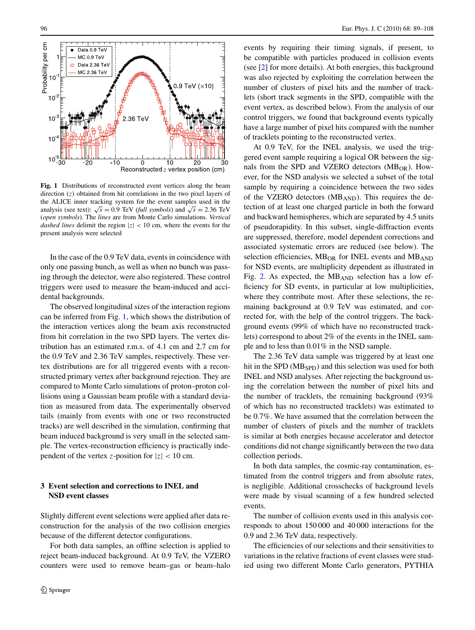<span id="page-7-0"></span>

**Fig. 1** Distributions of reconstructed event vertices along the beam direction (*z*) obtained from hit correlations in the two pixel layers of the ALICE inner tracking system for the event samples used in the analysis (see text):  $\sqrt{s} = 0.9$  TeV (*full symbols*) and  $\sqrt{s} = 2.36$  TeV (*open symbols*). The *lines* are from Monte Carlo simulations. *Vertical dashed lines* delimit the region |*z*| *<* 10 cm, where the events for the present analysis were selected

In the case of the 0*.*9 TeV data, events in coincidence with only one passing bunch, as well as when no bunch was passing through the detector, were also registered. These control triggers were used to measure the beam-induced and accidental backgrounds.

The observed longitudinal sizes of the interaction regions can be inferred from Fig. 1, which shows the distribution of the interaction vertices along the beam axis reconstructed from hit correlation in the two SPD layers. The vertex distribution has an estimated r.m.s. of 4.1 cm and 2.7 cm for the 0.9 TeV and 2.36 TeV samples, respectively. These vertex distributions are for all triggered events with a reconstructed primary vertex after background rejection. They are compared to Monte Carlo simulations of proton–proton collisions using a Gaussian beam profile with a standard deviation as measured from data. The experimentally observed tails (mainly from events with one or two reconstructed tracks) are well described in the simulation, confirming that beam induced background is very small in the selected sample. The vertex-reconstruction efficiency is practically independent of the vertex *z*-position for  $|z|$  < 10 cm.

## **3 Event selection and corrections to INEL and NSD event classes**

Slightly different event selections were applied after data reconstruction for the analysis of the two collision energies because of the different detector configurations.

For both data samples, an offline selection is applied to reject beam-induced background. At 0.9 TeV, the VZERO counters were used to remove beam–gas or beam–halo events by requiring their timing signals, if present, to be compatible with particles produced in collision events (see [[2\]](#page-18-0) for more details). At both energies, this background was also rejected by exploiting the correlation between the number of clusters of pixel hits and the number of tracklets (short track segments in the SPD, compatible with the event vertex, as described below). From the analysis of our control triggers, we found that background events typically have a large number of pixel hits compared with the number of tracklets pointing to the reconstructed vertex.

At 0.9 TeV, for the INEL analysis, we used the triggered event sample requiring a logical OR between the signals from the SPD and VZERO detectors  $(MB_{OR})$ . However, for the NSD analysis we selected a subset of the total sample by requiring a coincidence between the two sides of the VZERO detectors  $(MB_{AND})$ . This requires the detection of at least one charged particle in both the forward and backward hemispheres, which are separated by 4.5 units of pseudorapidity. In this subset, single-diffraction events are suppressed, therefore, model dependent corrections and associated systematic errors are reduced (see below). The selection efficiencies,  $MB<sub>OR</sub>$  for INEL events and  $MB<sub>AND</sub>$ for NSD events, are multiplicity dependent as illustrated in Fig. [2.](#page-8-0) As expected, the  $MB<sub>AND</sub>$  selection has a low efficiency for SD events, in particular at low multiplicities, where they contribute most. After these selections, the remaining background at 0.9 TeV was estimated, and corrected for, with the help of the control triggers. The background events (99% of which have no reconstructed tracklets) correspond to about 2% of the events in the INEL sample and to less than 0.01% in the NSD sample.

The 2.36 TeV data sample was triggered by at least one hit in the SPD  $(MB_{SPD})$  and this selection was used for both INEL and NSD analyses. After rejecting the background using the correlation between the number of pixel hits and the number of tracklets, the remaining background (93% of which has no reconstructed tracklets) was estimated to be 0.7%. We have assumed that the correlation between the number of clusters of pixels and the number of tracklets is similar at both energies because accelerator and detector conditions did not change significantly between the two data collection periods.

In both data samples, the cosmic-ray contamination, estimated from the control triggers and from absolute rates, is negligible. Additional crosschecks of background levels were made by visual scanning of a few hundred selected events.

The number of collision events used in this analysis corresponds to about 150 000 and 40 000 interactions for the 0.9 and 2.36 TeV data, respectively.

The efficiencies of our selections and their sensitivities to variations in the relative fractions of event classes were studied using two different Monte Carlo generators, PYTHIA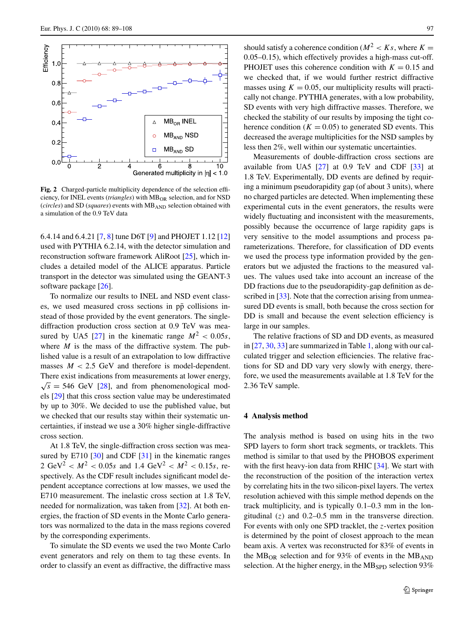<span id="page-8-0"></span>

**Fig. 2** Charged-particle multiplicity dependence of the selection efficiency, for INEL events (*triangles*) with MB<sub>OR</sub> selection, and for NSD (*circles*) and SD (*squares*) events with MB<sub>AND</sub> selection obtained with a simulation of the 0*.*9 TeV data

6.4.14 and 6.4.21 [[7,](#page-18-0) [8](#page-18-0)] tune D6T [[9\]](#page-18-0) and PHOJET 1.12 [[12\]](#page-18-0) used with PYTHIA 6.2.14, with the detector simulation and reconstruction software framework AliRoot [\[25](#page-18-0)], which includes a detailed model of the ALICE apparatus. Particle transport in the detector was simulated using the GEANT-3 software package [[26\]](#page-18-0).

To normalize our results to INEL and NSD event classes, we used measured cross sections in  $p\bar{p}$  collisions instead of those provided by the event generators. The singlediffraction production cross section at 0.9 TeV was mea-sured by UA5 [\[27](#page-18-0)] in the kinematic range  $M^2 < 0.05s$ , where *M* is the mass of the diffractive system. The published value is a result of an extrapolation to low diffractive masses *M <* 2*.*5 GeV and therefore is model-dependent. There exist indications from measurements at lower energy,  $\sqrt{s}$  = 546 GeV [\[28](#page-18-0)], and from phenomenological models [[29\]](#page-18-0) that this cross section value may be underestimated by up to 30%. We decided to use the published value, but we checked that our results stay within their systematic uncertainties, if instead we use a 30% higher single-diffractive cross section.

At 1.8 TeV, the single-diffraction cross section was mea-sured by E710 [[30\]](#page-18-0) and CDF [\[31](#page-18-0)] in the kinematic ranges 2 GeV<sup>2</sup>  $\lt M^2$   $\lt 0.05s$  and 1.4 GeV<sup>2</sup>  $\lt M^2$   $\lt 0.15s$ , respectively. As the CDF result includes significant model dependent acceptance corrections at low masses, we used the E710 measurement. The inelastic cross section at 1.8 TeV, needed for normalization, was taken from [[32](#page-18-0)]. At both energies, the fraction of SD events in the Monte Carlo generators was normalized to the data in the mass regions covered by the corresponding experiments.

To simulate the SD events we used the two Monte Carlo event generators and rely on them to tag these events. In order to classify an event as diffractive, the diffractive mass should satisfy a coherence condition ( $M^2 < Ks$ , where  $K =$ 0*.*05–0*.*15), which effectively provides a high-mass cut-off. PHOJET uses this coherence condition with  $K = 0.15$  and we checked that, if we would further restrict diffractive masses using  $K = 0.05$ , our multiplicity results will practically not change. PYTHIA generates, with a low probability, SD events with very high diffractive masses. Therefore, we checked the stability of our results by imposing the tight coherence condition ( $K = 0.05$ ) to generated SD events. This decreased the average multiplicities for the NSD samples by less then 2%, well within our systematic uncertainties.

Measurements of double-diffraction cross sections are available from UA5  $[27]$  $[27]$  at 0.9 TeV and CDF  $[33]$  $[33]$  at 1.8 TeV. Experimentally, DD events are defined by requiring a minimum pseudorapidity gap (of about 3 units), where no charged particles are detected. When implementing these experimental cuts in the event generators, the results were widely fluctuating and inconsistent with the measurements, possibly because the occurrence of large rapidity gaps is very sensitive to the model assumptions and process parameterizations. Therefore, for classification of DD events we used the process type information provided by the generators but we adjusted the fractions to the measured values. The values used take into account an increase of the DD fractions due to the pseudorapidity-gap definition as de-scribed in [\[33\]](#page-18-0). Note that the correction arising from unmeasured DD events is small, both because the cross section for DD is small and because the event selection efficiency is large in our samples.

The relative fractions of SD and DD events, as measured in [[27,](#page-18-0) [30](#page-18-0), [33\]](#page-18-0) are summarized in Table [1,](#page-9-0) along with our calculated trigger and selection efficiencies. The relative fractions for SD and DD vary very slowly with energy, therefore, we used the measurements available at 1.8 TeV for the 2.36 TeV sample.

## **4 Analysis method**

The analysis method is based on using hits in the two SPD layers to form short track segments, or tracklets. This method is similar to that used by the PHOBOS experiment with the first heavy-ion data from RHIC [\[34](#page-18-0)]. We start with the reconstruction of the position of the interaction vertex by correlating hits in the two silicon-pixel layers. The vertex resolution achieved with this simple method depends on the track multiplicity, and is typically 0*.*1–0.3 mm in the longitudinal (*z*) and 0*.*2–0.5 mm in the transverse direction. For events with only one SPD tracklet, the *z*-vertex position is determined by the point of closest approach to the mean beam axis. A vertex was reconstructed for 83% of events in the  $MB<sub>OR</sub>$  selection and for 93% of events in the  $MB<sub>AND</sub>$ selection. At the higher energy, in the  $MB_{SPD}$  selection 93%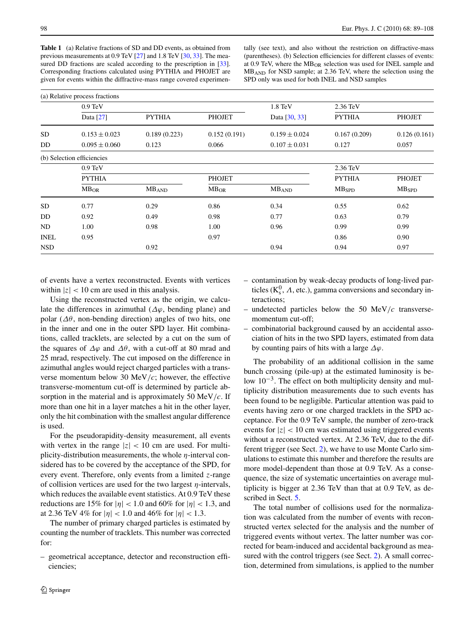<span id="page-9-0"></span>**Table 1** (a) Relative fractions of SD and DD events, as obtained from previous measurements at 0.9 TeV [\[27\]](#page-18-0) and 1.8 TeV [[30](#page-18-0), [33](#page-18-0)]. The mea-sured DD fractions are scaled according to the prescription in [[33](#page-18-0)]. Corresponding fractions calculated using PYTHIA and PHOJET are given for events within the diffractive-mass range covered experimentally (see text), and also without the restriction on diffractive-mass (parentheses). (b) Selection efficiencies for different classes of events: at 0.9 TeV, where the MB<sub>OR</sub> selection was used for INEL sample and MBAND for NSD sample; at 2.36 TeV, where the selection using the SPD only was used for both INEL and NSD samples

| (a) Relative process fractions |                            |               |               |                   |                    |                   |  |
|--------------------------------|----------------------------|---------------|---------------|-------------------|--------------------|-------------------|--|
|                                | $0.9 \text{ TeV}$          |               |               | 1.8 TeV           | 2.36 TeV           |                   |  |
|                                | Data [27]                  | <b>PYTHIA</b> | <b>PHOJET</b> | Data [30, 33]     | <b>PYTHIA</b>      | <b>PHOJET</b>     |  |
| <b>SD</b>                      | $0.153 \pm 0.023$          | 0.189(0.223)  | 0.152(0.191)  | $0.159 \pm 0.024$ | 0.167(0.209)       | 0.126(0.161)      |  |
| DD                             | $0.095 \pm 0.060$          | 0.123         | 0.066         | $0.107 \pm 0.031$ | 0.127              | 0.057             |  |
|                                | (b) Selection efficiencies |               |               |                   |                    |                   |  |
|                                | $0.9 \text{ TeV}$          |               |               |                   | $2.36 \text{ TeV}$ |                   |  |
|                                | <b>PYTHIA</b>              |               | <b>PHOJET</b> |                   | <b>PYTHIA</b>      | <b>PHOJET</b>     |  |
|                                | $MB_{OR}$                  | $MB$ AND      | $MB_{OR}$     | MB <sub>AND</sub> | MB <sub>SPD</sub>  | MB <sub>SPD</sub> |  |
| <b>SD</b>                      | 0.77                       | 0.29          | 0.86          | 0.34              | 0.55               | 0.62              |  |
| DD                             | 0.92                       | 0.49          | 0.98          | 0.77              | 0.63               | 0.79              |  |
| ND                             | 1.00                       | 0.98          | 1.00          | 0.96              | 0.99               | 0.99              |  |
| <b>INEL</b>                    | 0.95                       |               | 0.97          |                   | 0.86               | 0.90              |  |
| <b>NSD</b>                     |                            | 0.92          |               | 0.94              | 0.94               | 0.97              |  |

of events have a vertex reconstructed. Events with vertices within  $|z|$  < 10 cm are used in this analysis.

Using the reconstructed vertex as the origin, we calculate the differences in azimuthal  $(\Delta \varphi, \Delta \varphi)$  bending plane) and polar  $(\Delta \theta)$ , non-bending direction) angles of two hits, one in the inner and one in the outer SPD layer. Hit combinations, called tracklets, are selected by a cut on the sum of the squares of  $\Delta\varphi$  and  $\Delta\theta$ , with a cut-off at 80 mrad and 25 mrad, respectively. The cut imposed on the difference in azimuthal angles would reject charged particles with a transverse momentum below 30 MeV*/c*; however, the effective transverse-momentum cut-off is determined by particle absorption in the material and is approximately 50 MeV*/c*. If more than one hit in a layer matches a hit in the other layer, only the hit combination with the smallest angular difference is used.

For the pseudorapidity-density measurement, all events with vertex in the range  $|z| < 10$  cm are used. For multiplicity-distribution measurements, the whole *η*-interval considered has to be covered by the acceptance of the SPD, for every event. Therefore, only events from a limited *z*-range of collision vertices are used for the two largest *η*-intervals, which reduces the available event statistics. At 0.9 TeV these reductions are 15% for  $|\eta|$  < 1.0 and 60% for  $|\eta|$  < 1.3, and at 2.36 TeV 4% for  $|\eta| < 1.0$  and 46% for  $|\eta| < 1.3$ .

The number of primary charged particles is estimated by counting the number of tracklets. This number was corrected for:

– geometrical acceptance, detector and reconstruction efficiencies;

- contamination by weak-decay products of long-lived particles ( $K_s^0$ ,  $\Lambda$ , etc.), gamma conversions and secondary interactions;
- undetected particles below the 50 MeV*/c* transversemomentum cut-off;
- combinatorial background caused by an accidental association of hits in the two SPD layers, estimated from data by counting pairs of hits with a large *Δϕ*.

The probability of an additional collision in the same bunch crossing (pile-up) at the estimated luminosity is below  $10^{-3}$ . The effect on both multiplicity density and multiplicity distribution measurements due to such events has been found to be negligible. Particular attention was paid to events having zero or one charged tracklets in the SPD acceptance. For the 0.9 TeV sample, the number of zero-track events for  $|z|$  < 10 cm was estimated using triggered events without a reconstructed vertex. At 2.36 TeV, due to the different trigger (see Sect. [2](#page-6-0)), we have to use Monte Carlo simulations to estimate this number and therefore the results are more model-dependent than those at 0.9 TeV. As a consequence, the size of systematic uncertainties on average multiplicity is bigger at 2.36 TeV than that at 0.9 TeV, as described in Sect. [5](#page-11-0).

The total number of collisions used for the normalization was calculated from the number of events with reconstructed vertex selected for the analysis and the number of triggered events without vertex. The latter number was corrected for beam-induced and accidental background as mea-sured with the control triggers (see Sect. [2\)](#page-6-0). A small correction, determined from simulations, is applied to the number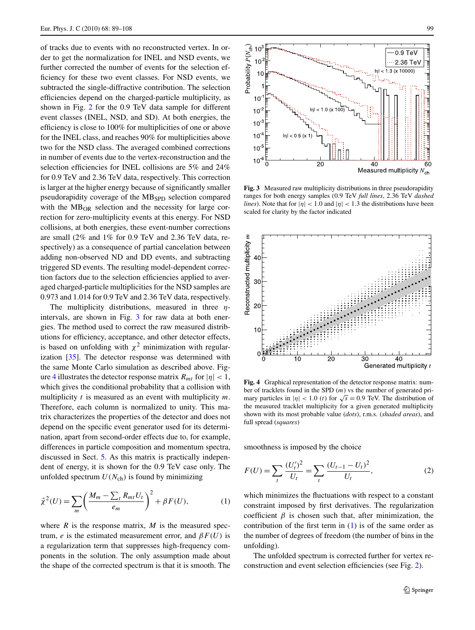<span id="page-10-0"></span>of tracks due to events with no reconstructed vertex. In order to get the normalization for INEL and NSD events, we further corrected the number of events for the selection efficiency for these two event classes. For NSD events, we subtracted the single-diffractive contribution. The selection efficiencies depend on the charged-particle multiplicity, as shown in Fig. [2](#page-8-0) for the 0.9 TeV data sample for different event classes (INEL, NSD, and SD). At both energies, the efficiency is close to 100% for multiplicities of one or above for the INEL class, and reaches 90% for multiplicities above two for the NSD class. The averaged combined corrections in number of events due to the vertex-reconstruction and the selection efficiencies for INEL collisions are 5% and 24% for 0.9 TeV and 2.36 TeV data, respectively. This correction is larger at the higher energy because of significantly smaller pseudorapidity coverage of the MB<sub>SPD</sub> selection compared with the  $MB<sub>OR</sub>$  selection and the necessity for large correction for zero-multiplicity events at this energy. For NSD collisions, at both energies, these event-number corrections are small (2% and 1% for 0.9 TeV and 2.36 TeV data, respectively) as a consequence of partial cancelation between adding non-observed ND and DD events, and subtracting triggered SD events. The resulting model-dependent correction factors due to the selection efficiencies applied to averaged charged-particle multiplicities for the NSD samples are 0.973 and 1.014 for 0.9 TeV and 2.36 TeV data, respectively.

The multiplicity distributions, measured in three *η*intervals, are shown in Fig. 3 for raw data at both energies. The method used to correct the raw measured distributions for efficiency, acceptance, and other detector effects, is based on unfolding with  $\chi^2$  minimization with regularization [[35\]](#page-18-0). The detector response was determined with the same Monte Carlo simulation as described above. Figure 4 illustrates the detector response matrix  $R_{mt}$  for  $|\eta| < 1$ , which gives the conditional probability that a collision with multiplicity *t* is measured as an event with multiplicity *m*. Therefore, each column is normalized to unity. This matrix characterizes the properties of the detector and does not depend on the specific event generator used for its determination, apart from second-order effects due to, for example, differences in particle composition and momentum spectra, discussed in Sect. [5](#page-11-0). As this matrix is practically independent of energy, it is shown for the 0*.*9 TeV case only. The unfolded spectrum  $U(N_{ch})$  is found by minimizing

$$
\hat{\chi}^{2}(U) = \sum_{m} \left( \frac{M_{m} - \sum_{t} R_{mt} U_{t}}{e_{m}} \right)^{2} + \beta F(U),
$$
\n(1)

where  $R$  is the response matrix,  $M$  is the measured spectrum, *e* is the estimated measurement error, and *βF(U)* is a regularization term that suppresses high-frequency components in the solution. The only assumption made about the shape of the corrected spectrum is that it is smooth. The



**Fig. 3** Measured raw multiplicity distributions in three pseudorapidity ranges for both energy samples (0*.*9 TeV *full lines*, 2*.*36 TeV *dashed lines*). Note that for  $|\eta| < 1.0$  and  $|\eta| < 1.3$  the distributions have been scaled for clarity by the factor indicated



**Fig. 4** Graphical representation of the detector response matrix: number of tracklets found in the SPD (*m*) vs the number of generated primary particles in  $|\eta| < 1.0$  (*t*) for  $\sqrt{s} = 0.9$  TeV. The distribution of the measured tracklet multiplicity for a given generated multiplicity shown with its most probable value (*dots*), r.m.s. (*shaded areas*), and full spread (*squares*)

smoothness is imposed by the choice

$$
F(U) = \sum_{t} \frac{(U_t')^2}{U_t} = \sum_{t} \frac{(U_{t-1} - U_t)^2}{U_t},
$$
\n(2)

which minimizes the fluctuations with respect to a constant constraint imposed by first derivatives. The regularization coefficient  $\beta$  is chosen such that, after minimization, the contribution of the first term in  $(1)$  is of the same order as the number of degrees of freedom (the number of bins in the unfolding).

The unfolded spectrum is corrected further for vertex reconstruction and event selection efficiencies (see Fig. [2](#page-8-0)).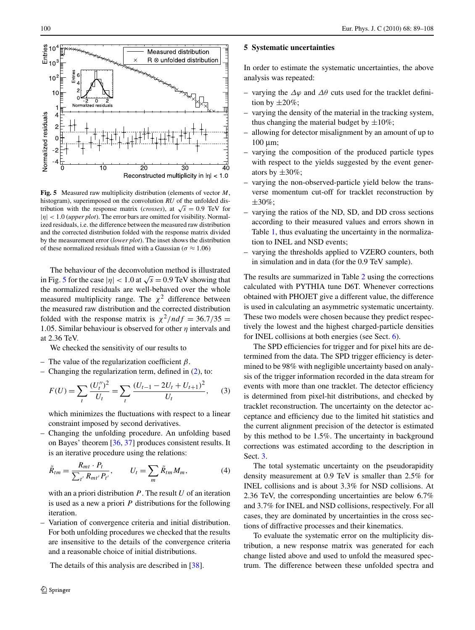<span id="page-11-0"></span>

**Fig. 5** Measured raw multiplicity distribution (elements of vector *M*, histogram), superimposed on the convolution *RU* of the unfolded distribution with the response matrix (*crosses*), at  $\sqrt{s} = 0.9$  TeV for |*η*| *<* 1*.*0 (*upper plot*). The error bars are omitted for visibility. Normalized residuals, i.e. the difference between the measured raw distribution and the corrected distribution folded with the response matrix divided by the measurement error (*lower plot*). The inset shows the distribution of these normalized residuals fitted with a Gaussian ( $\sigma \approx 1.06$ )

The behaviour of the deconvolution method is illustrated in Fig. 5 for the case  $|\eta| < 1.0$  at  $\sqrt{s} = 0.9$  TeV showing that the normalized residuals are well-behaved over the whole measured multiplicity range. The  $\chi^2$  difference between the measured raw distribution and the corrected distribution folded with the response matrix is  $\chi^2/ndf = 36.7/35$ 1*.*05. Similar behaviour is observed for other *η* intervals and at 2.36 TeV.

We checked the sensitivity of our results to

- The value of the regularization coefficient *β*.
- Changing the regularization term, defined in [\(2\)](#page-10-0), to:

$$
F(U) = \sum_{t} \frac{(U_t'')^2}{U_t} = \sum_{t} \frac{(U_{t-1} - 2U_t + U_{t+1})^2}{U_t},
$$
 (3)

which minimizes the fluctuations with respect to a linear constraint imposed by second derivatives.

– Changing the unfolding procedure. An unfolding based on Bayes' theorem [\[36](#page-18-0), [37](#page-18-0)] produces consistent results. It is an iterative procedure using the relations:

$$
\tilde{R}_{tm} = \frac{R_{mt} \cdot P_t}{\sum_{t'} R_{mt'} P_{t'}}, \qquad U_t = \sum_m \tilde{R}_{tm} M_m, \tag{4}
$$

with an a priori distribution *P* . The result *U* of an iteration is used as a new a priori *P* distributions for the following iteration.

– Variation of convergence criteria and initial distribution. For both unfolding procedures we checked that the results are insensitive to the details of the convergence criteria and a reasonable choice of initial distributions.

The details of this analysis are described in [\[38](#page-18-0)].

#### **5 Systematic uncertainties**

In order to estimate the systematic uncertainties, the above analysis was repeated:

- varying the *Δϕ* and *Δθ* cuts used for the tracklet definition by  $\pm 20\%$ ;
- varying the density of the material in the tracking system, thus changing the material budget by  $\pm 10\%$ ;
- allowing for detector misalignment by an amount of up to 100 μm;
- varying the composition of the produced particle types with respect to the yields suggested by the event generators by  $\pm 30\%$ ;
- varying the non-observed-particle yield below the transverse momentum cut-off for tracklet reconstruction by  $\pm 30\%$ :
- varying the ratios of the ND, SD, and DD cross sections according to their measured values and errors shown in Table [1](#page-9-0), thus evaluating the uncertainty in the normalization to INEL and NSD events;
- varying the thresholds applied to VZERO counters, both in simulation and in data (for the 0.9 TeV sample).

The results are summarized in Table [2](#page-12-0) using the corrections calculated with PYTHIA tune D6T. Whenever corrections obtained with PHOJET give a different value, the difference is used in calculating an asymmetric systematic uncertainty. These two models were chosen because they predict respectively the lowest and the highest charged-particle densities for INEL collisions at both energies (see Sect. [6\)](#page-12-0).

The SPD efficiencies for trigger and for pixel hits are determined from the data. The SPD trigger efficiency is determined to be 98% with negligible uncertainty based on analysis of the trigger information recorded in the data stream for events with more than one tracklet. The detector efficiency is determined from pixel-hit distributions, and checked by tracklet reconstruction. The uncertainty on the detector acceptance and efficiency due to the limited hit statistics and the current alignment precision of the detector is estimated by this method to be 1.5%. The uncertainty in background corrections was estimated according to the description in Sect. [3.](#page-7-0)

The total systematic uncertainty on the pseudorapidity density measurement at 0.9 TeV is smaller than 2.5% for INEL collisions and is about 3.3% for NSD collisions. At 2.36 TeV, the corresponding uncertainties are below 6.7% and 3.7% for INEL and NSD collisions, respectively. For all cases, they are dominated by uncertainties in the cross sections of diffractive processes and their kinematics.

To evaluate the systematic error on the multiplicity distribution, a new response matrix was generated for each change listed above and used to unfold the measured spectrum. The difference between these unfolded spectra and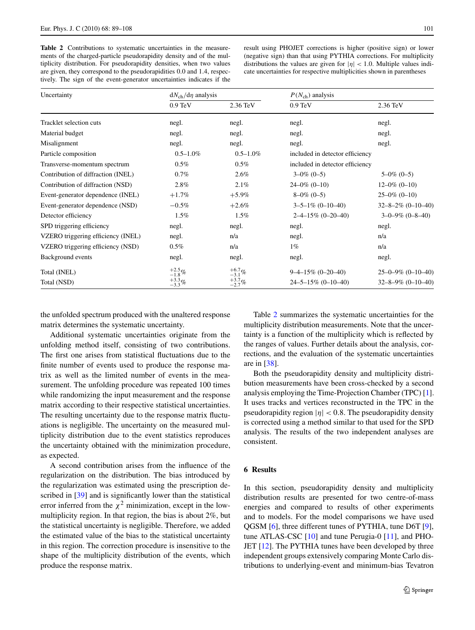<span id="page-12-0"></span>Table 2 Contributions to systematic uncertainties in the measurements of the charged-particle pseudorapidity density and of the multiplicity distribution. For pseudorapidity densities, when two values are given, they correspond to the pseudorapidities 0*.*0 and 1*.*4, respectively. The sign of the event-generator uncertainties indicates if the

| Uncertainty                        | $dN_{ch}/d\eta$ analysis |                    | $P(N_{\rm ch})$ analysis           |                              |  |
|------------------------------------|--------------------------|--------------------|------------------------------------|------------------------------|--|
|                                    | $0.9 \text{ TeV}$        | $2.36 \text{ TeV}$ | $0.9 \text{ TeV}$                  | 2.36 TeV                     |  |
| Tracklet selection cuts            | negl.                    | negl.              | negl.                              | negl.                        |  |
| Material budget                    | negl.                    | negl.              | negl.                              | negl.                        |  |
| Misalignment                       | negl.                    | negl.              | negl.<br>negl.                     |                              |  |
| Particle composition               | $0.5 - 1.0\%$            | $0.5 - 1.0\%$      | included in detector efficiency    |                              |  |
| Transverse-momentum spectrum       | $0.5\%$                  | $0.5\%$            | included in detector efficiency    |                              |  |
| Contribution of diffraction (INEL) | $0.7\%$                  | 2.6%               | $3 - 0\%$ (0-5)<br>$5 - 0\%$ (0-5) |                              |  |
| Contribution of diffraction (NSD)  | $2.8\%$                  | 2.1%               | $24 - 0\%$ (0-10)                  | $12 - 0\%$ (0-10)            |  |
| Event-generator dependence (INEL)  | $+1.7%$                  | $+5.9\%$           | $8 - 0\%$ (0-5)                    | $25 - 0\%$ (0-10)            |  |
| Event-generator dependence (NSD)   | $-0.5\%$                 | $+2.6\%$           | $3 - 5 - 1\% (0 - 10 - 40)$        | $32 - 8 - 2\% (0 - 10 - 40)$ |  |
| Detector efficiency                | $1.5\%$                  | $1.5\%$            | $2 - 4 - 15\%$ (0-20-40)           | $3 - 0 - 9\%$ (0-8-40)       |  |
| SPD triggering efficiency          | negl.                    | negl.              | negl.                              | negl.                        |  |
| VZERO triggering efficiency (INEL) | negl.                    | n/a                | negl.                              | n/a                          |  |
| VZERO triggering efficiency (NSD)  | $0.5\%$                  | n/a                | $1\%$                              | n/a                          |  |
| Background events                  | negl.                    | negl.              | negl.                              | negl.                        |  |
| Total (INEL)                       | $^{+2.5}_{-1.8}\%$       | $^{+6.7}_{-3.1}\%$ | $9 - 4 - 15\%$ (0-20-40)           | $25 - 0 - 9\%$ (0-10-40)     |  |
| Total (NSD)                        | $^{+3.3}_{-3.3}\%$       | $^{+3.7}_{-2.7}\%$ | $24 - 5 - 15\%$ (0-10-40)          | $32 - 8 - 9\% (0 - 10 - 40)$ |  |

the unfolded spectrum produced with the unaltered response matrix determines the systematic uncertainty.

Additional systematic uncertainties originate from the unfolding method itself, consisting of two contributions. The first one arises from statistical fluctuations due to the finite number of events used to produce the response matrix as well as the limited number of events in the measurement. The unfolding procedure was repeated 100 times while randomizing the input measurement and the response matrix according to their respective statistical uncertainties. The resulting uncertainty due to the response matrix fluctuations is negligible. The uncertainty on the measured multiplicity distribution due to the event statistics reproduces the uncertainty obtained with the minimization procedure, as expected.

A second contribution arises from the influence of the regularization on the distribution. The bias introduced by the regularization was estimated using the prescription de-scribed in [\[39](#page-18-0)] and is significantly lower than the statistical error inferred from the  $\chi^2$  minimization, except in the lowmultiplicity region. In that region, the bias is about 2%, but the statistical uncertainty is negligible. Therefore, we added the estimated value of the bias to the statistical uncertainty in this region. The correction procedure is insensitive to the shape of the multiplicity distribution of the events, which produce the response matrix.

Table 2 summarizes the systematic uncertainties for the multiplicity distribution measurements. Note that the uncertainty is a function of the multiplicity which is reflected by the ranges of values. Further details about the analysis, corrections, and the evaluation of the systematic uncertainties are in [\[38](#page-18-0)].

Both the pseudorapidity density and multiplicity distribution measurements have been cross-checked by a second analysis employing the Time-Projection Chamber (TPC) [[1\]](#page-18-0). It uses tracks and vertices reconstructed in the TPC in the pseudorapidity region  $|\eta| < 0.8$ . The pseudorapidity density is corrected using a method similar to that used for the SPD analysis. The results of the two independent analyses are consistent.

#### **6 Results**

In this section, pseudorapidity density and multiplicity distribution results are presented for two centre-of-mass energies and compared to results of other experiments and to models. For the model comparisons we have used QGSM [[6\]](#page-18-0), three different tunes of PYTHIA, tune D6T [\[9](#page-18-0)], tune ATLAS-CSC [[10\]](#page-18-0) and tune Perugia-0 [[11](#page-18-0)], and PHO-JET [[12\]](#page-18-0). The PYTHIA tunes have been developed by three independent groups extensively comparing Monte Carlo distributions to underlying-event and minimum-bias Tevatron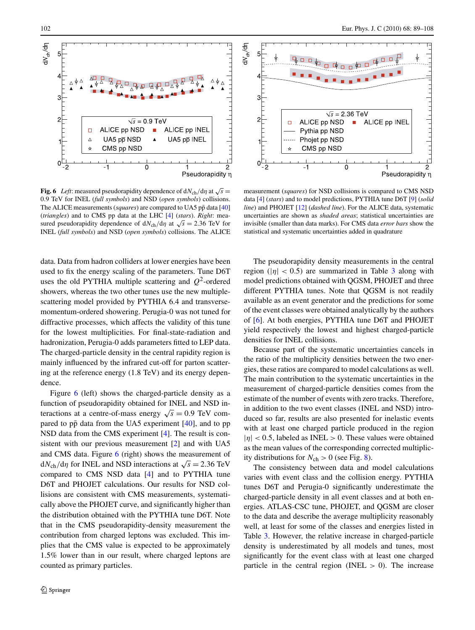

**Fig. 6** *Left*: measured pseudorapidity dependence of  $dN_{ch}/d\eta$  at  $\sqrt{s}$  = 0*.*9 TeV for INEL (*full symbols*) and NSD (*open symbols*) collisions. The ALICE measurements (*squares*) are compared to UA5 pp data [[40](#page-19-0)] (*triangles*) and to CMS pp data at the LHC [\[4\]](#page-18-0) (*stars*). *Right*: measured pseudorapidity dependence of  $dN_{ch}/d\eta$  at  $\sqrt{s} = 2.36$  TeV for INEL (*full symbols*) and NSD (*open symbols*) collisions. The ALICE

data. Data from hadron colliders at lower energies have been used to fix the energy scaling of the parameters. Tune D6T uses the old PYTHIA multiple scattering and  $Q^2$ -ordered showers, whereas the two other tunes use the new multiplescattering model provided by PYTHIA 6.4 and transversemomentum-ordered showering. Perugia-0 was not tuned for diffractive processes, which affects the validity of this tune for the lowest multiplicities. For final-state-radiation and hadronization, Perugia-0 adds parameters fitted to LEP data. The charged-particle density in the central rapidity region is mainly influenced by the infrared cut-off for parton scattering at the reference energy (1.8 TeV) and its energy dependence.

Figure 6 (left) shows the charged-particle density as a function of pseudorapidity obtained for INEL and NSD interactions at a centre-of-mass energy  $\sqrt{s} = 0.9$  TeV compared to  $p\bar{p}$  data from the UA5 experiment  $[40]$  $[40]$  $[40]$ , and to pp NSD data from the CMS experiment [[4\]](#page-18-0). The result is con-sistent with our previous measurement [[2\]](#page-18-0) and with UA5 and CMS data. Figure 6 (right) shows the measurement of  $dN_{ch}/d\eta$  for INEL and NSD interactions at  $\sqrt{s} = 2.36$  TeV compared to CMS NSD data [\[4](#page-18-0)] and to PYTHIA tune D6T and PHOJET calculations. Our results for NSD collisions are consistent with CMS measurements, systematically above the PHOJET curve, and significantly higher than the distribution obtained with the PYTHIA tune D6T. Note that in the CMS pseudorapidity-density measurement the contribution from charged leptons was excluded. This implies that the CMS value is expected to be approximately 1.5% lower than in our result, where charged leptons are counted as primary particles.



measurement (*squares*) for NSD collisions is compared to CMS NSD data [[4](#page-18-0)] (*stars*) and to model predictions, PYTHIA tune D6T [[9\]](#page-18-0) (*solid line*) and PHOJET [[12](#page-18-0)] (*dashed line*). For the ALICE data, systematic uncertainties are shown as *shaded areas*; statistical uncertainties are invisible (smaller than data marks). For CMS data *error bars* show the statistical and systematic uncertainties added in quadrature

The pseudorapidity density measurements in the central region ( $|\eta|$  < 0.5) are summarized in Table [3](#page-14-0) along with model predictions obtained with QGSM, PHOJET and three different PYTHIA tunes. Note that QGSM is not readily available as an event generator and the predictions for some of the event classes were obtained analytically by the authors of [[6\]](#page-18-0). At both energies, PYTHIA tune D6T and PHOJET yield respectively the lowest and highest charged-particle densities for INEL collisions.

Because part of the systematic uncertainties cancels in the ratio of the multiplicity densities between the two energies, these ratios are compared to model calculations as well. The main contribution to the systematic uncertainties in the measurement of charged-particle densities comes from the estimate of the number of events with zero tracks. Therefore, in addition to the two event classes (INEL and NSD) introduced so far, results are also presented for inelastic events with at least one charged particle produced in the region |*η*| *<* 0*.*5, labeled as INEL *>* 0. These values were obtained as the mean values of the corresponding corrected multiplicity distributions for  $N_{ch} > 0$  (see Fig. [8\)](#page-15-0).

The consistency between data and model calculations varies with event class and the collision energy. PYTHIA tunes D6T and Perugia-0 significantly underestimate the charged-particle density in all event classes and at both energies. ATLAS-CSC tune, PHOJET, and QGSM are closer to the data and describe the average multiplicity reasonably well, at least for some of the classes and energies listed in Table [3](#page-14-0). However, the relative increase in charged-particle density is underestimated by all models and tunes, most significantly for the event class with at least one charged particle in the central region (INEL  $> 0$ ). The increase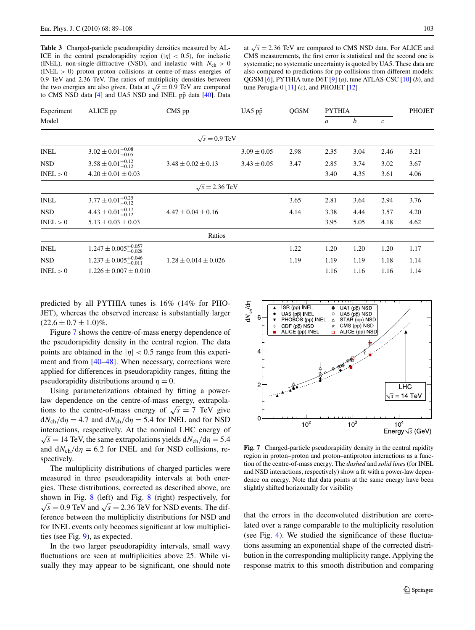<span id="page-14-0"></span>**Table 3** Charged-particle pseudorapidity densities measured by AL-ICE in the central pseudorapidity region ( $|\eta|$  < 0.5), for inelastic (INEL), non-single-diffractive (NSD), and inelastic with  $N_{ch} > 0$ (INEL *>* 0) proton–proton collisions at centre-of-mass energies of 0.9 TeV and 2.36 TeV. The ratios of multiplicity densities between the two energies are also given. Data at  $\sqrt{s} = 0.9$  TeV are compared to CMS NSD data [[4](#page-18-0)] and UA5 NSD and INEL pp data [[40\]](#page-19-0). Data

at  $\sqrt{s}$  = 2.36 TeV are compared to CMS NSD data. For ALICE and CMS measurements, the first error is statistical and the second one is systematic; no systematic uncertainty is quoted by UA5. These data are also compared to predictions for pp collisions from different models: QGSM [\[6](#page-18-0)], PYTHIA tune D6T [[9](#page-18-0)] (*a*), tune ATLAS-CSC [[10](#page-18-0)] (*b*), and tune Perugia-0  $[11]$  $[11]$  (*c*), and PHOJET  $[12]$ 

| Experiment  | ALICE pp                            | CMS pp                     | $U A 5 p \bar{p}$ | QGSM | <b>PYTHIA</b> |      |                   | <b>PHOJET</b> |
|-------------|-------------------------------------|----------------------------|-------------------|------|---------------|------|-------------------|---------------|
| Model       |                                     |                            |                   |      | $\mathfrak a$ | b    | $\mathcal{C}_{0}$ |               |
|             |                                     | $\sqrt{s} = 0.9$ TeV       |                   |      |               |      |                   |               |
| <b>INEL</b> | $3.02 \pm 0.01^{+0.08}_{-0.05}$     |                            | $3.09 \pm 0.05$   | 2.98 | 2.35          | 3.04 | 2.46              | 3.21          |
| <b>NSD</b>  | $3.58 \pm 0.01_{-0.12}^{+0.12}$     | $3.48 \pm 0.02 \pm 0.13$   | $3.43 \pm 0.05$   | 3.47 | 2.85          | 3.74 | 3.02              | 3.67          |
| INEL > 0    | $4.20 \pm 0.01 \pm 0.03$            |                            |                   |      | 3.40          | 4.35 | 3.61              | 4.06          |
|             |                                     | $\sqrt{s}$ = 2.36 TeV      |                   |      |               |      |                   |               |
| <b>INEL</b> | $3.77 \pm 0.01_{-0.12}^{+0.25}$     |                            |                   | 3.65 | 2.81          | 3.64 | 2.94              | 3.76          |
| <b>NSD</b>  | $4.43 \pm 0.01_{-0.12}^{+0.17}$     | $4.47 \pm 0.04 \pm 0.16$   |                   | 4.14 | 3.38          | 4.44 | 3.57              | 4.20          |
| INEL > 0    | $5.13 \pm 0.03 \pm 0.03$            |                            |                   |      | 3.95          | 5.05 | 4.18              | 4.62          |
|             |                                     | Ratios                     |                   |      |               |      |                   |               |
| <b>INEL</b> | $1.247 \pm 0.005^{+0.057}_{-0.028}$ |                            |                   | 1.22 | 1.20          | 1.20 | 1.20              | 1.17          |
| <b>NSD</b>  | $1.237 \pm 0.005_{-0.011}^{+0.046}$ | $1.28 \pm 0.014 \pm 0.026$ |                   | 1.19 | 1.19          | 1.19 | 1.18              | 1.14          |
| INEL > 0    | $1.226 \pm 0.007 \pm 0.010$         |                            |                   |      | 1.16          | 1.16 | 1.16              | 1.14          |

predicted by all PYTHIA tunes is 16% (14% for PHO-JET), whereas the observed increase is substantially larger  $(22.6 \pm 0.7 \pm 1.0)\%$ .

Figure 7 shows the centre-of-mass energy dependence of the pseudorapidity density in the central region. The data points are obtained in the  $|\eta| < 0.5$  range from this experiment and from [\[40–48](#page-19-0)]. When necessary, corrections were applied for differences in pseudorapidity ranges, fitting the pseudorapidity distributions around  $\eta = 0$ .

Using parameterizations obtained by fitting a powerlaw dependence on the centre-of-mass energy, extrapolations to the centre-of-mass energy of  $\sqrt{s} = 7$  TeV give  $dN_{ch}/d\eta = 4.7$  and  $dN_{ch}/d\eta = 5.4$  for INEL and for NSD interactions, respectively. At the nominal LHC energy of  $\sqrt{s}$  = 14 TeV, the same extrapolations yields  $dN_{ch}/d\eta$  = 5.4 and  $dN_{ch}/d\eta = 6.2$  for INEL and for NSD collisions, respectively.

The multiplicity distributions of charged particles were measured in three pseudorapidity intervals at both energies. These distributions, corrected as described above, are shown in Fig. [8](#page-15-0) (left) and Fig. [8](#page-15-0) (right) respectively, for  $\sqrt{s}$  = 0.9 TeV and  $\sqrt{s}$  = 2.36 TeV for NSD events. The difference between the multiplicity distributions for NSD and for INEL events only becomes significant at low multiplicities (see Fig. [9\)](#page-15-0), as expected.

In the two larger pseudorapidity intervals, small wavy fluctuations are seen at multiplicities above 25. While visually they may appear to be significant, one should note



**Fig. 7** Charged-particle pseudorapidity density in the central rapidity region in proton–proton and proton–antiproton interactions as a function of the centre-of-mass energy. The *dashed* and *solid lines* (for INEL and NSD interactions, respectively) show a fit with a power-law dependence on energy. Note that data points at the same energy have been slightly shifted horizontally for visibility

that the errors in the deconvoluted distribution are correlated over a range comparable to the multiplicity resolution (see Fig. [4](#page-10-0)). We studied the significance of these fluctuations assuming an exponential shape of the corrected distribution in the corresponding multiplicity range. Applying the response matrix to this smooth distribution and comparing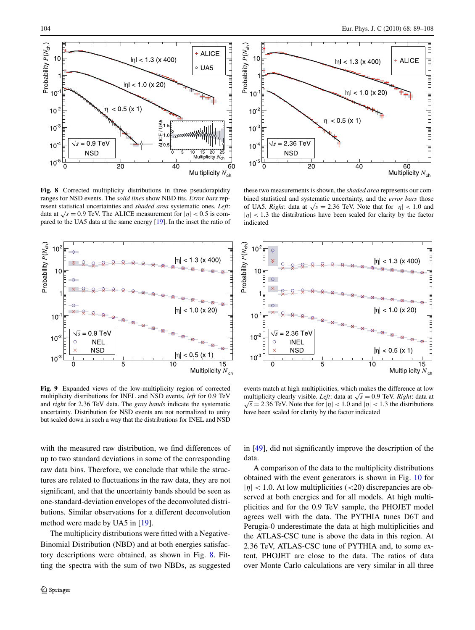<span id="page-15-0"></span>

**Fig. 8** Corrected multiplicity distributions in three pseudorapidity ranges for NSD events. The *solid lines* show NBD fits. *Error bars* represent statistical uncertainties and *shaded area* systematic ones. *Left*: data at  $\sqrt{s} = 0.9$  TeV. The ALICE measurement for  $|\eta| < 0.5$  is compared to the UA5 data at the same energy [\[19\]](#page-18-0). In the inset the ratio of



**Fig. 9** Expanded views of the low-multiplicity region of corrected multiplicity distributions for INEL and NSD events, *left* for 0.9 TeV and *right* for 2.36 TeV data. The *gray bands* indicate the systematic uncertainty. Distribution for NSD events are not normalized to unity but scaled down in such a way that the distributions for INEL and NSD

with the measured raw distribution, we find differences of up to two standard deviations in some of the corresponding raw data bins. Therefore, we conclude that while the structures are related to fluctuations in the raw data, they are not significant, and that the uncertainty bands should be seen as one-standard-deviation envelopes of the deconvoluted distributions. Similar observations for a different deconvolution method were made by UA5 in [[19\]](#page-18-0).

The multiplicity distributions were fitted with a Negative-Binomial Distribution (NBD) and at both energies satisfactory descriptions were obtained, as shown in Fig. 8. Fitting the spectra with the sum of two NBDs, as suggested



these two measurements is shown, the *shaded area* represents our combined statistical and systematic uncertainty, and the *error bars* those of UA5. *Right*: data at  $\sqrt{s} = 2.36$  TeV. Note that for  $|\eta| < 1.0$  and  $|n|$  < 1.3 the distributions have been scaled for clarity by the factor indicated



events match at high multiplicities, which makes the difference at low multiplicity clearly visible. *Left*: data at  $\sqrt{s} = 0.9$  TeV. *Right*: data at  $\sqrt{s}$  = 2.36 TeV. Note that for  $|\eta|$  < 1.0 and  $|\eta|$  < 1.3 the distributions have been scaled for clarity by the factor indicated

in [[49\]](#page-19-0), did not significantly improve the description of the data.

A comparison of the data to the multiplicity distributions obtained with the event generators is shown in Fig. [10](#page-16-0) for |*η*| *<* 1*.*0. At low multiplicities (*<*20) discrepancies are observed at both energies and for all models. At high multiplicities and for the 0.9 TeV sample, the PHOJET model agrees well with the data. The PYTHIA tunes D6T and Perugia-0 underestimate the data at high multiplicities and the ATLAS-CSC tune is above the data in this region. At 2.36 TeV, ATLAS-CSC tune of PYTHIA and, to some extent, PHOJET are close to the data. The ratios of data over Monte Carlo calculations are very similar in all three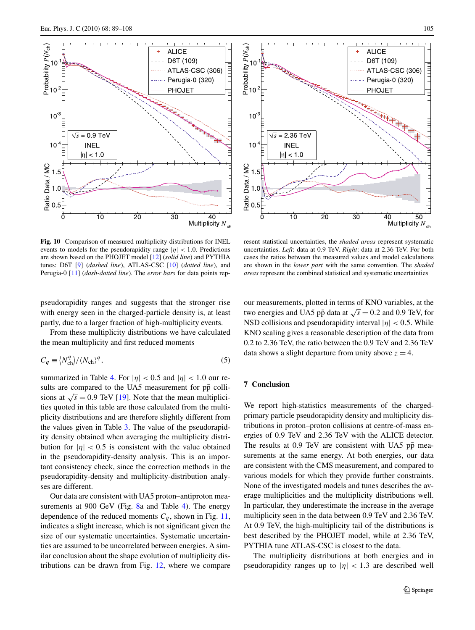<span id="page-16-0"></span>

**Fig. 10** Comparison of measured multiplicity distributions for INEL events to models for the pseudorapidity range |*η*| *<* 1*.*0. Predictions are shown based on the PHOJET model [[12](#page-18-0)] (*solid line*) and PYTHIA tunes: D6T [\[9](#page-18-0)] (*dashed line*), ATLAS-CSC [\[10\]](#page-18-0) (*dotted line*), and Perugia-0 [\[11\]](#page-18-0) (*dash-dotted line*). The *error bars* for data points rep-

pseudorapidity ranges and suggests that the stronger rise with energy seen in the charged-particle density is, at least partly, due to a larger fraction of high-multiplicity events.

From these multiplicity distributions we have calculated the mean multiplicity and first reduced moments

$$
C_q \equiv \langle N_{\rm ch}^q \rangle / \langle N_{\rm ch} \rangle^q, \tag{5}
$$

summarized in Table [4](#page-17-0). For  $|\eta| < 0.5$  and  $|\eta| < 1.0$  our results are compared to the UA5 measurement for pp collisions at  $\sqrt{s} = 0.9$  TeV [[19\]](#page-18-0). Note that the mean multiplicities quoted in this table are those calculated from the multiplicity distributions and are therefore slightly different from the values given in Table [3.](#page-14-0) The value of the pseudorapidity density obtained when averaging the multiplicity distribution for  $|\eta| < 0.5$  is consistent with the value obtained in the pseudorapidity-density analysis. This is an important consistency check, since the correction methods in the pseudorapidity-density and multiplicity-distribution analyses are different.

Our data are consistent with UA5 proton–antiproton measurements at 900 GeV (Fig. [8a](#page-15-0) and Table [4\)](#page-17-0). The energy dependence of the reduced moments  $C_q$ , shown in Fig. [11](#page-17-0), indicates a slight increase, which is not significant given the size of our systematic uncertainties. Systematic uncertainties are assumed to be uncorrelated between energies. A similar conclusion about the shape evolution of multiplicity distributions can be drawn from Fig. [12,](#page-17-0) where we compare



resent statistical uncertainties, the *shaded areas* represent systematic uncertainties. *Left*: data at 0.9 TeV. *Right*: data at 2.36 TeV. For both cases the ratios between the measured values and model calculations are shown in the *lower part* with the same convention. The *shaded areas* represent the combined statistical and systematic uncertainties

our measurements, plotted in terms of KNO variables, at the two energies and UA5 pp data at  $\sqrt{s} = 0.2$  and 0.9 TeV, for NSD collisions and pseudorapidity interval |*η*| *<* 0*.*5. While KNO scaling gives a reasonable description of the data from 0.2 to 2.36 TeV, the ratio between the 0.9 TeV and 2.36 TeV data shows a slight departure from unity above  $z = 4$ .

## **7 Conclusion**

We report high-statistics measurements of the chargedprimary particle pseudorapidity density and multiplicity distributions in proton–proton collisions at centre-of-mass energies of 0*.*9 TeV and 2.36 TeV with the ALICE detector. The results at  $0.9$  TeV are consistent with UA5  $p\bar{p}$  measurements at the same energy. At both energies, our data are consistent with the CMS measurement, and compared to various models for which they provide further constraints. None of the investigated models and tunes describes the average multiplicities and the multiplicity distributions well. In particular, they underestimate the increase in the average multiplicity seen in the data between 0.9 TeV and 2.36 TeV. At 0.9 TeV, the high-multiplicity tail of the distributions is best described by the PHOJET model, while at 2.36 TeV, PYTHIA tune ATLAS-CSC is closest to the data.

The multiplicity distributions at both energies and in pseudorapidity ranges up to  $|\eta|$  < 1.3 are described well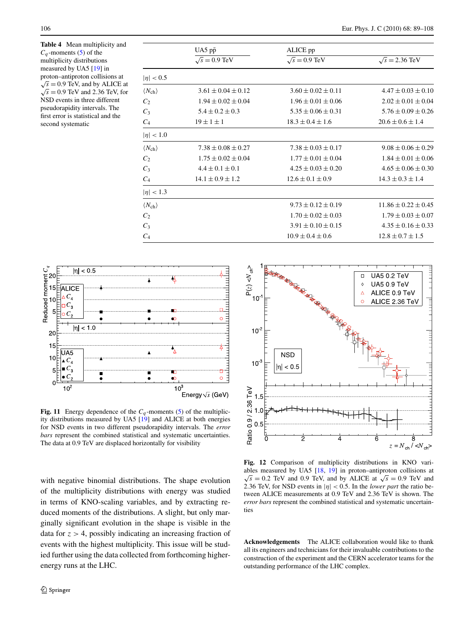<span id="page-17-0"></span>**Table 4** Mean multiplicity and  $C_q$ -moments ([5\)](#page-16-0) of the multiplicity distributions measured by UA5 [\[19\]](#page-18-0) in proton–antiproton collisions at  $\sqrt{s}$  = 0.9 TeV, and by ALICE at  $\sqrt{s}$  = 0.9 TeV and 2.36 TeV, for NSD events in three different pseudorapidity intervals. The first error is statistical and the second systematic

|                              | UA5 pp                   | ALICE pp                 |                           |
|------------------------------|--------------------------|--------------------------|---------------------------|
|                              | $\sqrt{s} = 0.9$ TeV     | $\sqrt{s} = 0.9$ TeV     | $\sqrt{s}$ = 2.36 TeV     |
| $ \eta  < 0.5$               |                          |                          |                           |
| $\langle N_{\rm ch} \rangle$ | $3.61 \pm 0.04 \pm 0.12$ | $3.60 \pm 0.02 \pm 0.11$ | $4.47 \pm 0.03 \pm 0.10$  |
| $C_2$                        | $1.94 \pm 0.02 \pm 0.04$ | $1.96 \pm 0.01 \pm 0.06$ | $2.02 \pm 0.01 \pm 0.04$  |
| $C_3$                        | $5.4 \pm 0.2 \pm 0.3$    | $5.35 \pm 0.06 \pm 0.31$ | $5.76 \pm 0.09 \pm 0.26$  |
| $C_4$                        | $19 \pm 1 \pm 1$         | $18.3 \pm 0.4 \pm 1.6$   | $20.6 \pm 0.6 \pm 1.4$    |
| $ \eta $ < 1.0               |                          |                          |                           |
| $\langle N_{\rm ch} \rangle$ | $7.38 \pm 0.08 \pm 0.27$ | $7.38 \pm 0.03 \pm 0.17$ | $9.08 \pm 0.06 \pm 0.29$  |
| $C_2$                        | $1.75 \pm 0.02 \pm 0.04$ | $1.77 \pm 0.01 \pm 0.04$ | $1.84 \pm 0.01 \pm 0.06$  |
| $C_3$                        | $4.4 \pm 0.1 \pm 0.1$    | $4.25 \pm 0.03 \pm 0.20$ | $4.65 \pm 0.06 \pm 0.30$  |
| $C_4$                        | $14.1 \pm 0.9 \pm 1.2$   | $12.6 \pm 0.1 \pm 0.9$   | $14.3 \pm 0.3 \pm 1.4$    |
| $ \eta $ < 1.3               |                          |                          |                           |
| $\langle N_{\rm ch} \rangle$ |                          | $9.73 \pm 0.12 \pm 0.19$ | $11.86 \pm 0.22 \pm 0.45$ |
| $C_2$                        |                          | $1.70 \pm 0.02 \pm 0.03$ | $1.79 \pm 0.03 \pm 0.07$  |
| $C_3$                        |                          | $3.91 \pm 0.10 \pm 0.15$ | $4.35 \pm 0.16 \pm 0.33$  |
| $\mathcal{C}_4$              |                          | $10.9 \pm 0.4 \pm 0.6$   | $12.8 \pm 0.7 \pm 1.5$    |



**Fig. 11** Energy dependence of the  $C_q$ -moments [\(5](#page-16-0)) of the multiplicity distributions measured by UA5 [[19](#page-18-0)] and ALICE at both energies for NSD events in two different pseudorapidity intervals. The *error bars* represent the combined statistical and systematic uncertainties. The data at 0.9 TeV are displaced horizontally for visibility

with negative binomial distributions. The shape evolution of the multiplicity distributions with energy was studied in terms of KNO-scaling variables, and by extracting reduced moments of the distributions. A slight, but only marginally significant evolution in the shape is visible in the data for *z >* 4, possibly indicating an increasing fraction of events with the highest multiplicity. This issue will be studied further using the data collected from forthcoming higherenergy runs at the LHC.



Fig. 12 Comparison of multiplicity distributions in KNO variables measured by UA5 [[18](#page-18-0), [19](#page-18-0)] in proton–antiproton collisions at  $√s = 0.2$  TeV and 0.9 TeV, and by ALICE at  $√s = 0.9$  TeV and 2.36 TeV, for NSD events in  $|\eta| < 0.5$ . In the *lower part* the ratio between ALICE measurements at 0.9 TeV and 2.36 TeV is shown. The *error bars* represent the combined statistical and systematic uncertainties

**Acknowledgements** The ALICE collaboration would like to thank all its engineers and technicians for their invaluable contributions to the construction of the experiment and the CERN accelerator teams for the outstanding performance of the LHC complex.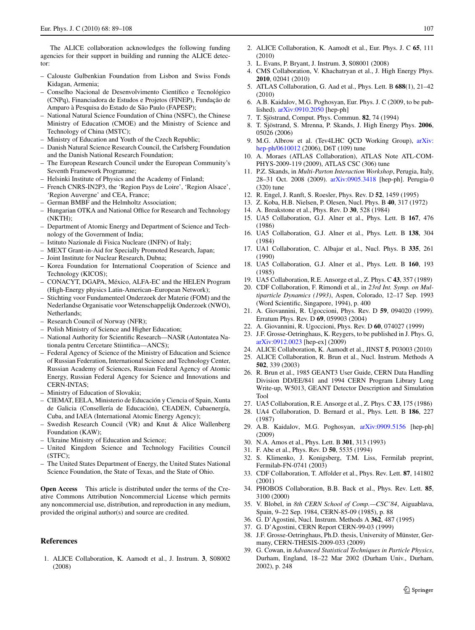<span id="page-18-0"></span>The ALICE collaboration acknowledges the following funding agencies for their support in building and running the ALICE detector:

- Calouste Gulbenkian Foundation from Lisbon and Swiss Fonds Kidagan, Armenia;
- Conselho Nacional de Desenvolvimento Científico e Tecnológico (CNPq), Financiadora de Estudos e Projetos (FINEP), Fundação de Amparo à Pesquisa do Estado de São Paulo (FAPESP);
- National Natural Science Foundation of China (NSFC), the Chinese Ministry of Education (CMOE) and the Ministry of Science and Technology of China (MSTC);
- Ministry of Education and Youth of the Czech Republic;
- Danish Natural Science Research Council, the Carlsberg Foundation and the Danish National Research Foundation;
- The European Research Council under the European Community's Seventh Framework Programme;
- Helsinki Institute of Physics and the Academy of Finland;
- French CNRS-IN2P3, the 'Region Pays de Loire', 'Region Alsace', 'Region Auvergne' and CEA, France;
- German BMBF and the Helmholtz Association;
- Hungarian OTKA and National Office for Research and Technology (NKTH);
- Department of Atomic Energy and Department of Science and Technology of the Government of India;
- Istituto Nazionale di Fisica Nucleare (INFN) of Italy;
- MEXT Grant-in-Aid for Specially Promoted Research, Japan;
- Joint Institute for Nuclear Research, Dubna;
- Korea Foundation for International Cooperation of Science and Technology (KICOS);
- CONACYT, DGAPA, México, ALFA-EC and the HELEN Program (High-Energy physics Latin-American–European Network);
- Stichting voor Fundamenteel Onderzoek der Materie (FOM) and the Nederlandse Organisatie voor Wetenschappelijk Onderzoek (NWO), Netherlands;
- Research Council of Norway (NFR);
- Polish Ministry of Science and Higher Education;
- National Authority for Scientific Research—NASR (Autontatea Nationala pentru Cercetare Stiintifica—ANCS);
- Federal Agency of Science of the Ministry of Education and Science of Russian Federation, International Science and Technology Center, Russian Academy of Sciences, Russian Federal Agency of Atomic Energy, Russian Federal Agency for Science and Innovations and CERN-INTAS;
- Ministry of Education of Slovakia;
- CIEMAT, EELA, Ministerio de Educación y Ciencia of Spain, Xunta de Galicia (Consellería de Educación), CEADEN, Cubaenergía, Cuba, and IAEA (International Atomic Energy Agency);
- Swedish Research Council (VR) and Knut & Alice Wallenberg Foundation (KAW);
- Ukraine Ministry of Education and Science;
- United Kingdom Science and Technology Facilities Council (STFC);
- The United States Department of Energy, the United States National Science Foundation, the State of Texas, and the State of Ohio.

**Open Access** This article is distributed under the terms of the Creative Commons Attribution Noncommercial License which permits any noncommercial use, distribution, and reproduction in any medium, provided the original author(s) and source are credited.

#### **References**

1. ALICE Collaboration, K. Aamodt et al., J. Instrum. **3**, S08002 (2008)

- 2. ALICE Collaboration, K. Aamodt et al., Eur. Phys. J. C **65**, 111 (2010)
- 3. L. Evans, P. Bryant, J. Instrum. **3**, S08001 (2008)
- 4. CMS Collaboration, V. Khachatryan et al., J. High Energy Phys. **2010**, 02041 (2010)
- 5. ATLAS Collaboration, G. Aad et al., Phys. Lett. B **688**(1), 21–42 (2010)
- 6. A.B. Kaidalov, M.G. Poghosyan, Eur. Phys. J. C (2009, to be published). [arXiv:0910.2050](http://arxiv.org/abs/arXiv:0910.2050) [hep-ph]
- 7. T. Sjöstrand, Comput. Phys. Commun. **82**, 74 (1994)
- 8. T. Sjöstrand, S. Mrenna, P. Skands, J. High Energy Phys. **2006**, 05026 (2006)
- 9. M.G. Albrow et al. (Tev4LHC OCD Working Group), [arXiv:](http://arxiv.org/abs/arXiv:hep-ph/0610012) [hep-ph/0610012](http://arxiv.org/abs/arXiv:hep-ph/0610012) (2006), D6T (109) tune
- 10. A. Moraes (ATLAS Collaboration), ATLAS Note ATL-COM-PHYS-2009-119 (2009), ATLAS CSC (306) tune
- 11. P.Z. Skands, in *Multi-Parton Interaction Workshop*, Perugia, Italy, 28–31 Oct. 2008 (2009). [arXiv:0905.3418](http://arxiv.org/abs/arXiv:0905.3418) [hep-ph]. Perugia-0 (320) tune
- 12. R. Engel, J. Ranft, S. Roesler, Phys. Rev. D **52**, 1459 (1995)
- 13. Z. Koba, H.B. Nielsen, P. Olesen, Nucl. Phys. B **40**, 317 (1972)
- 14. A. Breakstone et al., Phys. Rev. D **30**, 528 (1984)
- 15. UA5 Collaboration, G.J. Alner et al., Phys. Lett. B **167**, 476 (1986)
- 16. UA5 Collaboration, G.J. Alner et al., Phys. Lett. B **138**, 304 (1984)
- 17. UA1 Collaboration, C. Albajar et al., Nucl. Phys. B **335**, 261 (1990)
- 18. UA5 Collaboration, G.J. Alner et al., Phys. Lett. B **160**, 193 (1985)
- 19. UA5 Collaboration, R.E. Ansorge et al., Z. Phys. C **43**, 357 (1989)
- 20. CDF Collaboration, F. Rimondi et al., in *23rd Int. Symp. on Multiparticle Dynamics (1993)*, Aspen, Colorado, 12–17 Sep. 1993 (Word Scientific, Singapore, 1994), p. 400
- 21. A. Giovannini, R. Ugoccioni, Phys. Rev. D **59**, 094020 (1999). Erratum Phys. Rev. D **69**, 059903 (2004)
- 22. A. Giovannini, R. Ugoccioni, Phys. Rev. D **60**, 074027 (1999)
- 23. J.F. Grosse-Oetringhaus, K. Reygers, to be published in J. Phys. G, [arXiv:0912.0023](http://arxiv.org/abs/arXiv:0912.0023) [hep-ex] (2009)
- 24. ALICE Collaboration, K. Aamodt et al., JINST **5**, P03003 (2010)
- 25. ALICE Collaboration, R. Brun et al., Nucl. Instrum. Methods A **502**, 339 (2003)
- 26. R. Brun et al., 1985 GEANT3 User Guide, CERN Data Handling Division DD/EE/841 and 1994 CERN Program Library Long Write-up, W5013, GEANT Detector Description and Simulation Tool
- 27. UA5 Collaboration, R.E. Ansorge et al., Z. Phys. C **33**, 175 (1986)
- 28. UA4 Collaboration, D. Bernard et al., Phys. Lett. B **186**, 227 (1987)
- 29. A.B. Kaidalov, M.G. Poghosyan, [arXiv:0909.5156](http://arxiv.org/abs/arXiv:0909.5156) [hep-ph] (2009)
- 30. N.A. Amos et al., Phys. Lett. B **301**, 313 (1993)
- 31. F. Abe et al., Phys. Rev. D **50**, 5535 (1994)
- 32. S. Klimenko, J. Konigsberg, T.M. Liss, Fermilab preprint, Fermilab-FN-0741 (2003)
- 33. CDF Collaboration, T. Affolder et al., Phys. Rev. Lett. **87**, 141802 (2001)
- 34. PHOBOS Collaboration, B.B. Back et al., Phys. Rev. Lett. **85**, 3100 (2000)
- 35. V. Blobel, in *8th CERN School of Comp.—CSC'84*, Aiguablava, Spain, 9–22 Sep. 1984, CERN-85-09 (1985), p. 88
- 36. G. D'Agostini, Nucl. Instrum. Methods A **362**, 487 (1995)
- 37. G. D'Agostini, CERN Report CERN-99-03 (1999)
- 38. J.F. Grosse-Oetringhaus, Ph.D. thesis, University of Münster, Germany, CERN-THESIS-2009-033 (2009)
- 39. G. Cowan, in *Advanced Statistical Techniques in Particle Physics*, Durham, England, 18–22 Mar 2002 (Durham Univ., Durham, 2002), p. 248